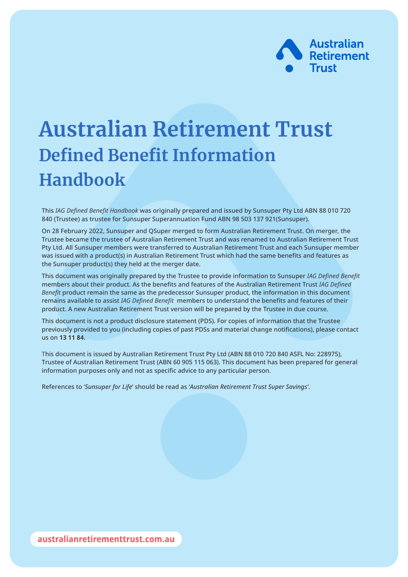

# **Australian Retirement Trust Defined Benefit Information Handbook**

This *IAG Defined Benefit Handbook* was originally prepared and issued by Sunsuper Pty Ltd ABN 88 010 720 840 (Trustee) as trustee for Sunsuper Superannuation Fund ABN 98 503 137 921(Sunsuper).

On 28 February 2022, Sunsuper and QSuper merged to form Australian Retirement Trust. On merger, the Trustee became the trustee of Australian Retirement Trust and was renamed to Australian Retirement Trust Pty Ltd. All Sunsuper members were transferred to Australian Retirement Trust and each Sunsuper member was issued with a product(s) in Australian Retirement Trust which had the same benefits and features as the Sunsuper product(s) they held at the merger date.

This document was originally prepared by the Trustee to provide information to Sunsuper *IAG Defined Benefit* members about their product. As the benefits and features of the Australian Retirement Trust *IAG Defined Benefit* product remain the same as the predecessor Sunsuper product, the information in this document remains available to assist *IAG Defined Benefit* members to understand the benefits and features of their product. A new Australian Retirement Trust version will be prepared by the Trustee in due course.

This document is not a product disclosure statement (PDS). For copies of information that the Trustee previously provided to you (including copies of past PDSs and material change notifications), please contact us on **13 11 84.**

This document is issued by Australian Retirement Trust Pty Ltd (ABN 88 010 720 840 ASFL No: 228975), Trustee of Australian Retirement Trust (ABN 60 905 115 063). This document has been prepared for general information purposes only and not as specific advice to any particular person.

References to '*Sunsuper for Life*' should be read as '*Australian Retirement Trust Super Savings'*.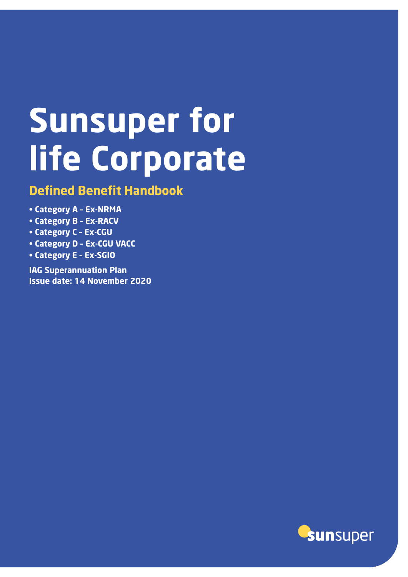# **Sunsuper for life Corporate**

# **Defined Benefit Handbook**

- **• Category A Ex-NRMA**
- **• Category B Ex-RACV**
- **• Category C Ex-CGU**
- **• Category D Ex-CGU VACC**
- **• Category E Ex-SGIO**

**IAG Superannuation Plan Issue date: 14 November 2020**

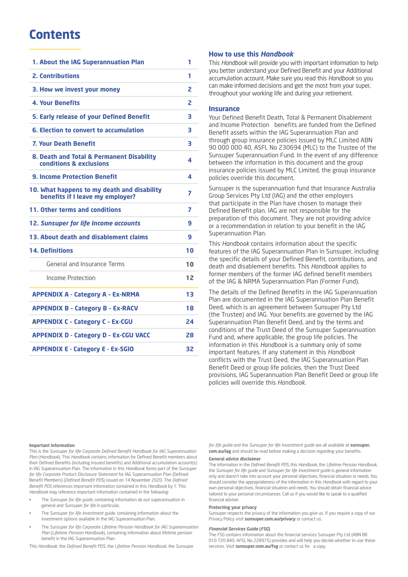# **Contents**

| 1. About the IAG Superannuation Plan                                            | 1  |
|---------------------------------------------------------------------------------|----|
| <b>2. Contributions</b>                                                         | 1  |
| 3. How we invest your money                                                     | 2  |
| <b>4. Your Benefits</b>                                                         | 2  |
| 5. Early release of your Defined Benefit                                        | 3  |
| 6. Election to convert to accumulation                                          | 3  |
| <b>7. Your Death Benefit</b>                                                    | 3  |
| 8. Death and Total & Permanent Disability<br>conditions & exclusions            | 4  |
| <b>9. Income Protection Benefit</b>                                             | 4  |
| 10. What happens to my death and disability<br>benefits if I leave my employer? | 7  |
| 11. Other terms and conditions                                                  | 7  |
| <b>12. Sunsuper for life Income accounts</b>                                    | 9  |
| 13. About death and disablement claims                                          | 9  |
| <b>14. Definitions</b>                                                          | 10 |
| General and Insurance Terms                                                     | 10 |
| Income Protection                                                               | 12 |
| <b>APPENDIX A - Category A - Ex-NRMA</b>                                        | 13 |
| <b>APPENDIX B - Category B - Ex-RACV</b>                                        | 18 |
| <b>APPENDIX C - Category C - Ex-CGU</b>                                         | 24 |
| <b>APPENDIX D - Category D - Ex-CGU VACC</b>                                    | 28 |
| <b>APPENDIX E - Category E - Ex-SGIO</b>                                        | 32 |
|                                                                                 |    |

#### **How to use this** *Handbook*

This *Handbook* will provide you with important information to help you better understand your Defined Benefit and your Additional accumulation account. Make sure you read this *Handbook* so you can make informed decisions and get the most from your super, throughout your working life and during your retirement.

#### **Insurance**

Your Defined Benefit Death, Total & Permanent Disablement and Income Protection benefits are funded from the Defined Benefit assets within the IAG Superannuation Plan and through group insurance policies issued by MLC Limited ABN 90 000 000 40, ASFL No 230694 (MLC) to the Trustee of the Sunsuper Superannuation Fund. In the event of any difference between the information in this document and the group insurance policies issued by MLC Limited, the group insurance policies override this document.

Sunsuper is the superannuation fund that Insurance Australia Group Services Pty Ltd (IAG) and the other employers that participate in the Plan have chosen to manage their Defined Benefit plan. IAG are not responsible for the preparation of this document. They are not providing advice or a recommendation in relation to your benefit in the IAG Superannuation Plan.

This *Handbook* contains information about the specific features of the IAG Superannuation Plan in Sunsuper, including the specific details of your Defined Benefit, contributions, and death and disablement benefits. This *Handbook* applies to former members of the former IAG defined benefit members of the IAG & NRMA Superannuation Plan (Former Fund).

The details of the Defined Benefits in the IAG Superannuation Plan are documented in the IAG Superannuation Plan Benefit Deed, which is an agreement between Sunsuper Pty Ltd (the Trustee) and IAG. Your benefits are governed by the IAG Superannuation Plan Benefit Deed, and by the terms and conditions of the Trust Deed of the Sunsuper Superannuation Fund and, where applicable, the group life policies. The information in this *Handbook* is a summary only of some important features. If any statement in this *Handbook* conflicts with the Trust Deed, the IAG Superannuation Plan Benefit Deed or group life policies, then the Trust Deed provisions, IAG Superannuation Plan Benefit Deed or group life policies will override this *Handbook*.

#### **Important information**

This is the *Sunsuper for life Corporate Defined Benefit Handbook for IAG Superannuation Plan* (*Handbook*). This *Handbook* contains information for Defined Benefit members about their Defined Benefits (including insured benefits) and Additional accumulation account(s) in IAG Superannuation Plan. The information in this *Handbook* forms part of the *Sunsuper for life Corporate Product Disclosure Statement* for IAG Superannuation Plan (Defined Benefit Members) (*Defined Benefit PDS*) issued on 14 November 2020. The *Defined Benefit PDS* references important information contained in this *Handbook* by 'i'. This *Handbook* may reference important information contained in the following:

- The *Sunsuper for life guide*, containing information ab out superannuation in general and *Sunsuper for life* in particular,
- The *Sunsuper for life Investment guide*, containing information about the investment options available In the IAG Superannuation Plan.
- The *Sunsuper for life Corporate Lifetime Pension Handbook for IAG Superannuation Plan* (*Lifetime Pension Handbook*), containing information about lifetime pension benefit in the IAG Superannuation Plan.

This *Handbook*, the *Defined Benefit PDS*, the *Lifetime Pension Handbook*, the *Sunsuper* 

*for life guide* and the *Sunsuper for life Investment guide* are all available at **sunsuper. com.au/iag** and should be read before making a decision regarding your benefits.

#### **General advice disclaimer**

The information in the *Defined Benefit PDS*, this *Handbook*, the *Lifetime Pension Handbook*, the *Sunsuper for life guide* and *Sunsuper for life Investment guide* is general information only and doesn't take into account your personal objectives, financial situation or needs. You should consider the appropriateness of the information in this *Handbook* with regard to your own personal objectives, financial situation and needs. You should obtain financial advice tailored to your personal circumstances. Call us if you would like to speak to a qualified financial adviser.

#### **Protecting your privacy**

Sunsuper respects the privacy of the information you give us. If you require a copy of our Privacy Policy visit **sunsuper.com.au/privacy** or contact us.

#### *Financial Services Guide* **(***FSG***)**

The *FSG* contains information about the financial services Sunsuper Pty Ltd (ABN 88 010 720 840, AFSL No 228975) provides and will help you decide whether to use these services. Visit **sunsuper.com.au/fsg** or contact us for a copy.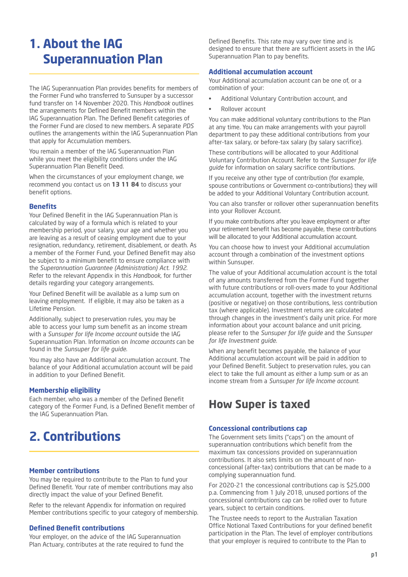# **1. About the IAG Superannuation Plan**

The IAG Superannuation Plan provides benefits for members of the Former Fund who transferred to Sunsuper by a successor fund transfer on 14 November 2020. This *Handbook* outlines the arrangements for Defined Benefit members within the IAG Superannuation Plan. The Defined Benefit categories of the Former Fund are closed to new members. A separate *PDS* outlines the arrangements within the IAG Superannuation Plan that apply for Accumulation members.

You remain a member of the IAG Superannuation Plan while you meet the eligibility conditions under the IAG Superannuation Plan Benefit Deed.

When the circumstances of your employment change, we recommend you contact us on **13 11 84** to discuss your benefit options.

### **Benefits**

Your Defined Benefit in the IAG Superannuation Plan is calculated by way of a formula which is related to your membership period, your salary, your age and whether you are leaving as a result of ceasing employment due to your resignation, redundancy, retirement, disablement, or death. As a member of the Former Fund, your Defined Benefit may also be subject to a minimum benefit to ensure compliance with the *Superannuation Guarantee (Administration) Act. 1992*. Refer to the relevant Appendix in this *Handbook*, for further details regarding your category arrangements.

Your Defined Benefit will be available as a lump sum on leaving employment. If eligible, it may also be taken as a Lifetime Pension.

Additionally, subject to preservation rules, you may be able to access your lump sum benefit as an income stream with a *Sunsuper for life Income account* outside the IAG Superannuation Plan. Information on *Income accounts* can be found in the *Sunsuper for life guide*.

You may also have an Additional accumulation account. The balance of your Additional accumulation account will be paid in addition to your Defined Benefit.

#### **Membership eligibility**

Each member, who was a member of the Defined Benefit category of the Former Fund, is a Defined Benefit member of the IAG Superannuation Plan.

# **2. Contributions**

#### **Member contributions**

You may be required to contribute to the Plan to fund your Defined Benefit. Your rate of member contributions may also directly impact the value of your Defined Benefit.

Refer to the relevant Appendix for information on required Member contributions specific to your category of membership.

#### **Defined Benefit contributions**

Your employer, on the advice of the IAG Superannuation Plan Actuary, contributes at the rate required to fund the

Defined Benefits. This rate may vary over time and is designed to ensure that there are sufficient assets in the IAG Superannuation Plan to pay benefits.

#### **Additional accumulation account**

Your Additional accumulation account can be one of, or a combination of your:

- Additional Voluntary Contribution account, and
- Rollover account

You can make additional voluntary contributions to the Plan at any time. You can make arrangements with your payroll department to pay these additional contributions from your after-tax salary, or before-tax salary (by salary sacrifice).

These contributions will be allocated to your Additional Voluntary Contribution Account. Refer to the *Sunsuper for life guide* for information on salary sacrifice contributions.

If you receive any other type of contribution (for example, spouse contributions or Government co-contributions) they will be added to your Additional Voluntary Contribution account.

You can also transfer or rollover other superannuation benefits into your Rollover Account.

If you make contributions after you leave employment or after your retirement benefit has become payable, these contributions will be allocated to your Additional accumulation account.

You can choose how to invest your Additional accumulation account through a combination of the investment options within Sunsuper.

The value of your Additional accumulation account is the total of any amounts transferred from the Former Fund together with future contributions or roll-overs made to your Additional accumulation account, together with the investment returns (positive or negative) on those contributions, less contribution tax (where applicable). Investment returns are calculated through changes in the investment's daily unit price. For more information about your account balance and unit pricing, please refer to the *Sunsuper for life guide* and the *Sunsuper for life Investment guide*.

When any benefit becomes payable, the balance of your Additional accumulation account will be paid in addition to your Defined Benefit. Subject to preservation rules, you can elect to take the full amount as either a lump sum or as an income stream from a *Sunsuper for life Income account*.

# **How Super is taxed**

#### **Concessional contributions cap**

The Government sets limits ("caps") on the amount of superannuation contributions which benefit from the maximum tax concessions provided on superannuation contributions. It also sets limits on the amount of nonconcessional (after-tax) contributions that can be made to a complying superannuation fund.

For 2020-21 the concessional contributions cap is \$25,000 p.a. Commencing from 1 July 2018, unused portions of the concessional contributions cap can be rolled over to future years, subject to certain conditions.

The Trustee needs to report to the Australian Taxation Office Notional Taxed Contributions for your defined benefit participation in the Plan. The level of employer contributions that your employer is required to contribute to the Plan to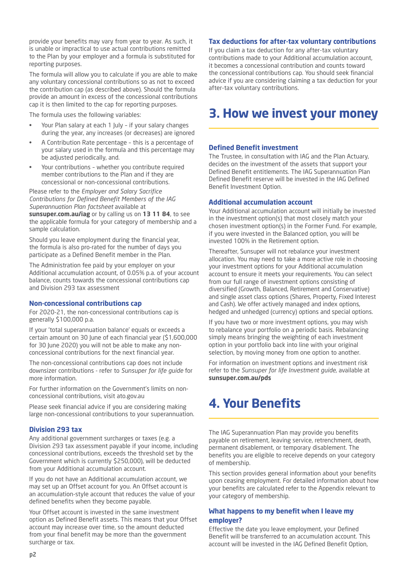provide your benefits may vary from year to year. As such, it is unable or impractical to use actual contributions remitted to the Plan by your employer and a formula is substituted for reporting purposes.

The formula will allow you to calculate if you are able to make any voluntary concessional contributions so as not to exceed the contribution cap (as described above). Should the formula provide an amount in excess of the concessional contributions cap it is then limited to the cap for reporting purposes.

The formula uses the following variables:

- Your Plan salary at each 1 July if your salary changes during the year, any increases (or decreases) are ignored
- A Contribution Rate percentage this is a percentage of your salary used in the formula and this percentage may be adjusted periodically, and.
- Your contributions whether you contribute required member contributions to the Plan and if they are concessional or non-concessional contributions.

Please refer to the *Employer and Salary Sacrifice Contributions for Defined Benefit Members of the IAG Superannuation Plan factsheet* available at

**sunsuper.com.au/iag** or by calling us on **13 11 84**, to see the applicable formula for your category of membership and a sample calculation.

Should you leave employment during the financial year, the formula is also pro-rated for the number of days you participate as a Defined Benefit member in the Plan.

The Administration fee paid by your employer on your Additional accumulation account, of 0.05% p.a. of your account balance, counts towards the concessional contributions cap and Division 293 tax assessment

#### **Non-concessional contributions cap**

For 2020-21, the non-concessional contributions cap is generally \$100,000 p.a.

If your 'total superannuation balance' equals or exceeds a certain amount on 30 June of each financial year (\$1,600,000 for 30 June 2020) you will not be able to make any nonconcessional contributions for the next financial year.

The non-concessional contributions cap does not include downsizer contributions - refer to *Sunsuper for life guide* for more information.

For further information on the Government's limits on nonconcessional contributions, visit ato.gov.au

Please seek financial advice if you are considering making large non-concessional contributions to your superannuation.

#### **Division 293 tax**

Any additional government surcharges or taxes (e.g. a Division 293 tax assessment payable if your income, including concessional contributions, exceeds the threshold set by the Government which is currently \$250,000), will be deducted from your Additional accumulation account.

If you do not have an Additional accumulation account, we may set up an Offset account for you. An Offset account is an accumulation-style account that reduces the value of your defined benefits when they become payable.

Your Offset account is invested in the same investment option as Defined Benefit assets. This means that your Offset account may increase over time, so the amount deducted from your final benefit may be more than the government surcharge or tax.

#### **Tax deductions for after-tax voluntary contributions**

If you claim a tax deduction for any after-tax voluntary contributions made to your Additional accumulation account, it becomes a concessional contribution and counts toward the concessional contributions cap. You should seek financial advice if you are considering claiming a tax deduction for your after-tax voluntary contributions.

# **3. How we invest your money**

#### **Defined Benefit investment**

The Trustee, in consultation with IAG and the Plan Actuary, decides on the investment of the assets that support your Defined Benefit entitlements. The IAG Superannuation Plan Defined Benefit reserve will be invested in the IAG Defined Benefit Investment Option.

#### **Additional accumulation account**

Your Additional accumulation account will initially be invested in the investment option(s) that most closely match your chosen investment option(s) in the Former Fund. For example, if you were invested in the Balanced option, you will be invested 100% in the Retirement option.

Thereafter, Sunsuper will not rebalance your investment allocation. You may need to take a more active role in choosing your investment options for your Additional accumulation account to ensure it meets your requirements. You can select from our full range of investment options consisting of diversified (Growth, Balanced, Retirement and Conservative) and single asset class options (Shares, Property, Fixed Interest and Cash). We offer actively managed and index options, hedged and unhedged (currency) options and special options.

If you have two or more investment options, you may wish to rebalance your portfolio on a periodic basis. Rebalancing simply means bringing the weighting of each investment option in your portfolio back into line with your original selection, by moving money from one option to another.

For information on investment options and investment risk refer to the *Sunsuper for life Investment guide*, available at **sunsuper.com.au/pds**

# **4. Your Benefits**

The IAG Superannuation Plan may provide you benefits payable on retirement, leaving service, retrenchment, death, permanent disablement, or temporary disablement. The benefits you are eligible to receive depends on your category of membership.

This section provides general information about your benefits upon ceasing employment. For detailed information about how your benefits are calculated refer to the Appendix relevant to your category of membership.

### **What happens to my benefit when I leave my employer?**

Effective the date you leave employment, your Defined Benefit will be transferred to an accumulation account. This account will be invested in the IAG Defined Benefit Option,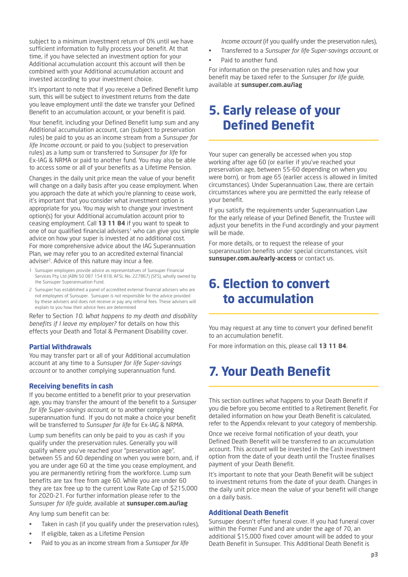subject to a minimum investment return of 0% until we have sufficient information to fully process your benefit. At that time, if you have selected an investment option for your Additional accumulation account this account will then be combined with your Additional accumulation account and invested according to your investment choice.

It's important to note that if you receive a Defined Benefit lump sum, this will be subject to investment returns from the date you leave employment until the date we transfer your Defined Benefit to an accumulation account, or your benefit is paid.

Your benefit, including your Defined Benefit lump sum and any Additional accumulation account, can (subject to preservation rules) be paid to you as an income stream from a *Sunsuper for life Income account*, or paid to you (subject to preservation rules) as a lump sum or transferred to *Sunsuper for life* for Ex-IAG & NRMA or paid to another fund. You may also be able to access some or all of your benefits as a Lifetime Pension.

Changes in the daily unit price mean the value of your benefit will change on a daily basis after you cease employment. When you approach the date at which you're planning to cease work, it's important that you consider what investment option is appropriate for you. You may wish to change your investment option(s) for your Additional accumulation account prior to ceasing employment. Call **13 11 84** if you want to speak to one of our qualified financial advisers<sup>1</sup> who can give you simple advice on how your super is invested at no additional cost. For more comprehensive advice about the IAG Superannuation Plan, we may refer you to an accredited external financial adviser<sup>2</sup>. Advice of this nature may incur a fee.

- Sunsuper employees provide advice as representatives of Sunsuper Financial Services Pty Ltd (ABN 50 087 154 818, AFSL No. 227867) (SFS), wholly owned by the Sunsuper Superannuation Fund.
- 2 Sunsuper has established a panel of accredited external financial advisers who are not employees of Sunsuper. Sunsuper is not responsible for the advice provided by these advisers and does not receive or pay any referral fees. These advisers will explain to you how their advice fees are determined

Refer to Section *10. What happens to my death and disability benefits if I leave my employer?* for details on how this effects your Death and Total & Permanent Disability cover.

#### **Partial Withdrawals**

You may transfer part or all of your Additional accumulation account at any time to a *Sunsuper for life Super-savings account* or to another complying superannuation fund.

#### **Receiving benefits in cash**

If you become entitled to a benefit prior to your preservation age, you may transfer the amount of the benefit to a *Sunsuper for life Super-savings account*, or to another complying superannuation fund. If you do not make a choice your benefit will be transferred to *Sunsuper for life* for Ex-IAG & NRMA.

Lump sum benefits can only be paid to you as cash if you qualify under the preservation rules. Generally you will qualify where you've reached your "preservation age", between 55 and 60 depending on when you were born, and, if you are under age 60 at the time you cease employment, and you are permanently retiring from the workforce. Lump sum benefits are tax free from age 60. While you are under 60 they are tax free up to the current Low Rate Cap of \$215,000 for 2020-21. For further information please refer to the *Sunsuper for life guide*, available at **sunsuper.com.au/iag**

Any lump sum benefit can be:

- Taken in cash (if you qualify under the preservation rules),
- If eligible, taken as a Lifetime Pension
- Paid to you as an income stream from a *Sunsuper for life*

*Income account* (if you qualify under the preservation rules),

- Transferred to a *Sunsuper for life Super-savings account*, or
- Paid to another fund.

For information on the preservation rules and how your benefit may be taxed refer to the *Sunsuper for life guide*, available at **sunsuper.com.au/iag**

# **5. Early release of your Defined Benefit**

Your super can generally be accessed when you stop working after age 60 (or earlier if you've reached your preservation age, between 55-60 depending on when you were born), or from age 65 (earlier access is allowed in limited circumstances). Under Superannuation Law, there are certain circumstances where you are permitted the early release of your benefit.

If you satisfy the requirements under Superannuation Law for the early release of your Defined Benefit, the Trustee will adjust your benefits in the Fund accordingly and your payment will be made.

For more details, or to request the release of your superannuation benefits under special circumstances, visit **sunsuper.com.au/early-access** or contact us.

# **6. Election to convert to accumulation**

You may request at any time to convert your defined benefit to an accumulation benefit.

For more information on this, please call **13 11 84**.

# **7. Your Death Benefit**

This section outlines what happens to your Death Benefit if you die before you become entitled to a Retirement Benefit. For detailed information on how your Death Benefit is calculated, refer to the Appendix relevant to your category of membership.

Once we receive formal notification of your death, your Defined Death Benefit will be transferred to an accumulation account. This account will be invested in the Cash investment option from the date of your death until the Trustee finalises payment of your Death Benefit.

It's important to note that your Death Benefit will be subject to investment returns from the date of your death. Changes in the daily unit price mean the value of your benefit will change on a daily basis.

#### **Additional Death Benefit**

Sunsuper doesn't offer funeral cover. If you had funeral cover within the Former Fund and are under the age of 70, an additional \$15,000 fixed cover amount will be added to your Death Benefit in Sunsuper. This Additional Death Benefit is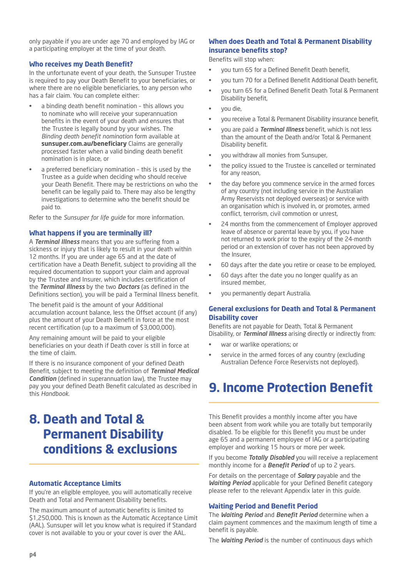only payable if you are under age 70 and employed by IAG or a participating employer at the time of your death.

### **Who receives my Death Benefit?**

In the unfortunate event of your death, the Sunsuper Trustee is required to pay your Death Benefit to your beneficiaries, or where there are no eligible beneficiaries, to any person who has a fair claim. You can complete either:

- a binding death benefit nomination this allows you to nominate who will receive your superannuation benefits in the event of your death and ensures that the Trustee is legally bound by your wishes. The *Binding death benefit nomination* form available at **sunsuper.com.au/beneficiary** Claims are generally processed faster when a valid binding death benefit nomination is in place, or
- a preferred beneficiary nomination this is used by the Trustee as a *guide* when deciding who should receive your Death Benefit. There may be restrictions on who the benefit can be legally paid to. There may also be lengthy investigations to determine who the benefit should be paid to.

Refer to the *Sunsuper for life guide* for more information.

### **What happens if you are terminally ill?**

A *Terminal Illness* means that you are suffering from a sickness or injury that is likely to result in your death within 12 months. If you are under age 65 and at the date of certification have a Death Benefit, subject to providing all the required documentation to support your claim and approval by the Trustee and Insurer, which includes certification of the *Terminal Illness* by the two *Doctors* (as defined in the Definitions section), you will be paid a Terminal Illness benefit.

The benefit paid is the amount of your Additional accumulation account balance, less the Offset account (if any) plus the amount of your Death Benefit in force at the most recent certification (up to a maximum of \$3,000,000).

Any remaining amount will be paid to your eligible beneficiaries on your death if Death cover is still in force at the time of claim.

If there is no insurance component of your defined Death Benefit, subject to meeting the definition of *Terminal Medical Condition* (defined in superannuation law), the Trustee may pay you your defined Death Benefit calculated as described in this *Handbook*.

# **8. Death and Total & Permanent Disability conditions & exclusions**

## **Automatic Acceptance Limits**

If you're an eligible employee, you will automatically receive Death and Total and Permanent Disability benefits.

The maximum amount of automatic benefits is limited to \$1,250,000. This is known as the Automatic Acceptance Limit (AAL). Sunsuper will let you know what is required if Standard cover is not available to you or your cover is over the AAL.

# **When does Death and Total & Permanent Disability insurance benefits stop?**

Benefits will stop when:

- you turn 65 for a Defined Benefit Death benefit,
- you turn 70 for a Defined Benefit Additional Death benefit,
- you turn 65 for a Defined Benefit Death Total & Permanent Disability benefit,
- you die,
- you receive a Total & Permanent Disability insurance benefit,
- you are paid a *Terminal Illness* benefit, which is not less than the amount of the Death and/or Total & Permanent Disability benefit.
- you withdraw all monies from Sunsuper,
- the policy issued to the Trustee is cancelled or terminated for any reason,
- the day before you commence service in the armed forces of any country (not including service in the Australian Army Reservists not deployed overseas) or service with an organisation which is involved in, or promotes, armed conflict, terrorism, civil commotion or unrest,
- 24 months from the commencement of Employer approved leave of absence or parental leave by you, if you have not returned to work prior to the expiry of the 24-month period or an extension of cover has not been approved by the Insurer,
- 60 days after the date you retire or cease to be employed,
- 60 days after the date you no longer qualify as an insured member,
- you permanently depart Australia.

### **General exclusions for Death and Total & Permanent Disability cover**

Benefits are not payable for Death, Total & Permanent Disability, or *Terminal Illness* arising directly or indirectly from:

- war or warlike operations; or
- service in the armed forces of any country (excluding Australian Defence Force Reservists not deployed).

# **9. Income Protection Benefit**

This Benefit provides a monthly income after you have been absent from work while you are totally but temporarily disabled. To be eligible for this Benefit you must be under age 65 and a permanent employee of IAG or a participating employer and working 15 hours or more per week.

If you become *Totally Disabled* you will receive a replacement monthly income for a *Benefit Period* of up to 2 years.

For details on the percentage of *Salary* payable and the *Waiting Period* applicable for your Defined Benefit category please refer to the relevant Appendix later in this *guide*.

### **Waiting Period and Benefit Period**

The *Waiting Period* and *Benefit Period* determine when a claim payment commences and the maximum length of time a benefit is payable.

The *Waiting Period* is the number of continuous days which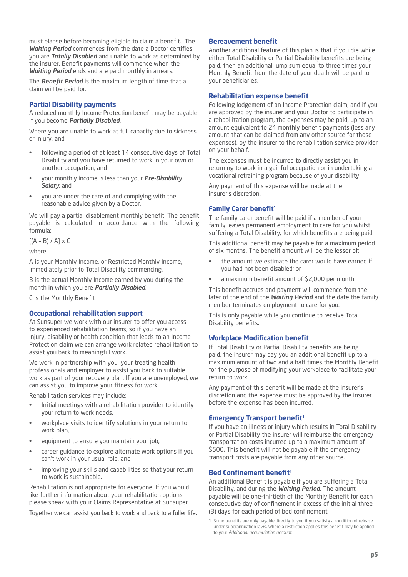must elapse before becoming eligible to claim a benefit. The *Waiting Period* commences from the date a Doctor certifies you are *Totally Disabled* and unable to work as determined by the insurer. Benefit payments will commence when the *Waiting Period* ends and are paid monthly in arrears.

The *Benefit Period* is the maximum length of time that a claim will be paid for.

### **Partial Disability payments**

A reduced monthly Income Protection benefit may be payable if you become *Partially Disabled*.

Where you are unable to work at full capacity due to sickness or injury, and

- following a period of at least 14 consecutive days of Total Disability and you have returned to work in your own or another occupation, and
- your monthly income is less than your *Pre-Disability Salary*, and
- you are under the care of and complying with the reasonable advice given by a Doctor,

We will pay a partial disablement monthly benefit. The benefit payable is calculated in accordance with the following formula:

 $[(A - B) / A] \times C$ 

where:

A is your Monthly Income, or Restricted Monthly Income, immediately prior to Total Disability commencing.

B is the actual Monthly Income earned by you during the month in which you are *Partially Disabled*.

C is the Monthly Benefit

#### **Occupational rehabilitation support**

At Sunsuper we work with our insurer to offer you access to experienced rehabilitation teams, so if you have an injury, disability or health condition that leads to an Income Protection claim we can arrange work related rehabilitation to assist you back to meaningful work.

We work in partnership with you, your treating health professionals and employer to assist you back to suitable work as part of your recovery plan. If you are unemployed, we can assist you to improve your fitness for work.

Rehabilitation services may include:

- Initial meetings with a rehabilitation provider to identify your return to work needs,
- workplace visits to identify solutions in your return to work plan,
- equipment to ensure you maintain your job,
- career guidance to explore alternate work options if you can't work in your usual role, and
- improving your skills and capabilities so that your return to work is sustainable.

Rehabilitation is not appropriate for everyone. If you would like further information about your rehabilitation options please speak with your Claims Representative at Sunsuper.

Together we can assist you back to work and back to a fuller life.

### **Bereavement benefit**

Another additional feature of this plan is that if you die while either Total Disability or Partial Disability benefits are being paid, then an additional lump sum equal to three times your Monthly Benefit from the date of your death will be paid to your beneficiaries.

#### **Rehabilitation expense benefit**

Following lodgement of an Income Protection claim, and if you are approved by the insurer and your Doctor to participate in a rehabilitation program, the expenses may be paid, up to an amount equivalent to 24 monthly benefit payments (less any amount that can be claimed from any other source for those expenses), by the insurer to the rehabilitation service provider on your behalf.

The expenses must be incurred to directly assist you in returning to work in a gainful occupation or in undertaking a vocational retraining program because of your disability.

Any payment of this expense will be made at the insurer's discretion.

# **Family Carer benefit<sup>1</sup>**

The family carer benefit will be paid if a member of your family leaves permanent employment to care for you whilst suffering a Total Disability, for which benefits are being paid.

This additional benefit may be payable for a maximum period of six months. The benefit amount will be the lesser of:

- the amount we estimate the carer would have earned if you had not been disabled; or
- a maximum benefit amount of \$2,000 per month.

This benefit accrues and payment will commence from the later of the end of the *Waiting Period* and the date the family member terminates employment to care for you.

This is only payable while you continue to receive Total Disability benefits.

# **Workplace Modification benefit**

If Total Disability or Partial Disability benefits are being paid, the insurer may pay you an additional benefit up to a maximum amount of two and a half times the Monthly Benefit for the purpose of modifying your workplace to facilitate your return to work.

Any payment of this benefit will be made at the insurer's discretion and the expense must be approved by the insurer before the expense has been incurred.

# **Emergency Transport benefit<sup>1</sup>**

If you have an illness or injury which results in Total Disability or Partial Disability the insurer will reimburse the emergency transportation costs incurred up to a maximum amount of \$500. This benefit will not be payable if the emergency transport costs are payable from any other source.

#### **Bed Confinement benefit1**

An additional Benefit is payable if you are suffering a Total Disability, and during the *Waiting Period*. The amount payable will be one-thirtieth of the Monthly Benefit for each consecutive day of confinement in excess of the initial three (3) days for each period of bed confinement.

<sup>1.</sup> Some benefits are only payable directly to you if you satisfy a condition of release under superannuation laws. Where a restriction applies this benefit may be applied to your *Additional accumulation account.*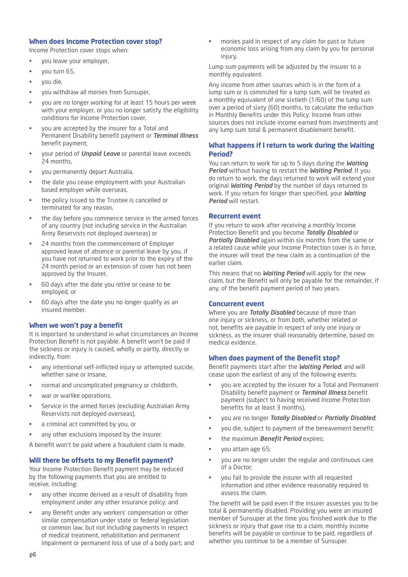### **When does Income Protection cover stop?**

Income Protection cover stops when:

- you leave your employer,
- you turn 65,
- you die,
- you withdraw all monies from Sunsuper,
- you are no longer working for at least 15 hours per week with your employer, or you no longer satisfy the eligibility conditions for Income Protection cover,
- you are accepted by the insurer for a Total and Permanent Disability benefit payment or *Terminal Illness* benefit payment,
- your period of *Unpaid Leave* or parental leave exceeds 24 months,
- you permanently depart Australia,
- the date you cease employment with your Australian based employer while overseas,
- the policy issued to the Trustee is cancelled or terminated for any reason,
- the day before you commence service in the armed forces of any country (not including service in the Australian Army Reservists not deployed overseas) or
- 24 months from the commencement of Employer approved leave of absence or parental leave by you, if you have not returned to work prior to the expiry of the 24 month period or an extension of cover has not been approved by the Insurer,
- 60 days after the date you retire or cease to be employed, or
- 60 days after the date you no longer qualify as an insured member.

# **When we won't pay a benefit**

It is important to understand in what circumstances an Income Protection Benefit is not payable. A benefit won't be paid if the sickness or injury is caused, wholly or partly, directly or indirectly, from:

- any intentional self-inflicted injury or attempted suicide, whether sane or insane,
- normal and uncomplicated pregnancy or childbirth,
- war or warlike operations,
- Service in the armed forces (excluding Australian Army Reservists not deployed overseas),
- a criminal act committed by you, or
- any other exclusions imposed by the insurer.

A benefit won't be paid where a fraudulent claim is made.

# **Will there be offsets to my Benefit payment?**

Your Income Protection Benefit payment may be reduced by the following payments that you are entitled to receive, including:

- any other income derived as a result of disability from employment under any other insurance policy; and
- any Benefit under any workers' compensation or other similar compensation under state or federal legislation or common law, but not including payments in respect of medical treatment, rehabilitation and permanent impairment or permanent loss of use of a body part; and

• monies paid in respect of any claim for past or future economic loss arising from any claim by you for personal injury.

Lump sum payments will be adjusted by the insurer to a monthly equivalent.

Any income from other sources which is in the form of a lump sum or is commuted for a lump sum, will be treated as a monthly equivalent of one sixtieth (1/60) of the lump sum over a period of sixty (60) months, to calculate the reduction in Monthly Benefits under this Policy. Income from other sources does not include income earned from investments and any lump sum total & permanent disablement benefit.

# **What happens if I return to work during the Waiting Period?**

You can return to work for up to 5 days during the *Waiting Period* without having to restart the *Waiting Period*. If you do return to work, the days returned to work will extend your original *Waiting Period* by the number of days returned to work. If you return for longer than specified, your *Waiting Period* will restart.

### **Recurrent event**

If you return to work after receiving a monthly Income Protection Benefit and you become *Totally Disabled* or *Partially Disabled* again within six months from the same or a related cause while your Income Protection cover is in force, the insurer will treat the new claim as a continuation of the earlier claim.

This means that no *Waiting Period* will apply for the new claim, but the Benefit will only be payable for the remainder, if any, of the benefit payment period of two years.

#### **Concurrent event**

Where you are *Totally Disabled* because of more than one injury or sickness, or from both, whether related or not, benefits are payable in respect of only one injury or sickness, as the insurer shall reasonably determine, based on medical evidence.

#### **When does payment of the Benefit stop?**

Benefit payments start after the *Waiting Period*, and will cease upon the earliest of any of the following events:

- you are accepted by the insurer for a Total and Permanent Disability benefit payment or *Terminal Illness* benefit payment (subject to having received Income Protection benefits for at least 3 months),
- you are no longer *Totally Disabled* or *Partially Disabled*;
- you die, subject to payment of the bereavement benefit;
- the maximum *Benefit Period* expires;
- you attain age 65;
- you are no longer under the regular and continuous care of a Doctor;
- you fail to provide the insurer with all requested information and other evidence reasonably required to assess the claim.

The benefit will be paid even if the insurer assesses you to be total & permanently disabled. Providing you were an insured member of Sunsuper at the time you finished work due to the sickness or injury that gave rise to a claim, monthly income benefits will be payable or continue to be paid, regardless of whether you continue to be a member of Sunsuper.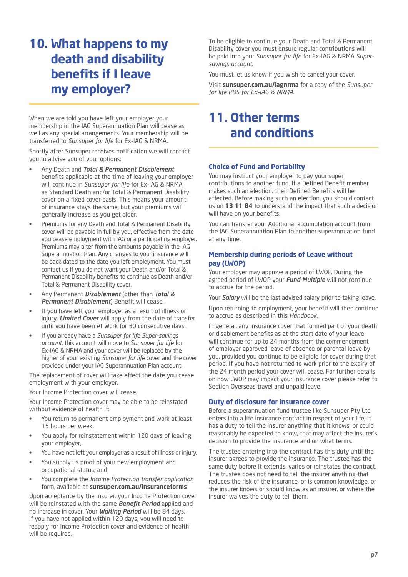# **10. What happens to my death and disability benefits if I leave my employer?**

When we are told you have left your employer your membership in the IAG Superannuation Plan will cease as well as any special arrangements. Your membership will be transferred to *Sunsuper for life* for Ex-IAG & NRMA.

Shortly after Sunsuper receives notification we will contact you to advise you of your options:

- Any Death and *Total & Permanent Disablement* benefits applicable at the time of leaving your employer will continue in *Sunsuper for life* for Ex-IAG & NRMA as Standard Death and/or Total & Permanent Disability cover on a fixed cover basis. This means your amount of insurance stays the same, but your premiums will generally increase as you get older.
- Premiums for any Death and Total & Permanent Disability cover will be payable in full by you, effective from the date you cease employment with IAG or a participating employer. Premiums may alter from the amounts payable in the IAG Superannuation Plan. Any changes to your insurance will be back dated to the date you left employment. You must contact us if you do not want your Death and/or Total & Permanent Disability benefits to continue as Death and/or Total & Permanent Disability cover.
- Any Permanent *Disablement* (other than *Total & Permanent Disablement*) Benefit will cease.
- If you have left your employer as a result of illness or injury, *Limited Cover* will apply from the date of transfer until you have been At Work for 30 consecutive days.
- If you already have a *Sunsuper for life Super-savings account*, this account will move to *Sunsuper for life* for Ex-IAG & NRMA and your cover will be replaced by the higher of your existing *Sunsuper for life* cover and the cover provided under your IAG Superannuation Plan account.

The replacement of cover will take effect the date you cease employment with your employer.

Your Income Protection cover will cease.

Your Income Protection cover may be able to be reinstated without evidence of health if:

- You return to permanent employment and work at least 15 hours per week,
- You apply for reinstatement within 120 days of leaving your employer,
- You have not left your employer as a result of illness or injury,
- You supply us proof of your new employment and occupational status, and
- You complete the *Income Protection transfer application* form, available at **sunsuper.com.au/insuranceforms**

Upon acceptance by the insurer, your Income Protection cover will be reinstated with the same *Benefit Period* applied and no increase in cover. Your *Waiting Period* will be 84 days. If you have not applied within 120 days, you will need to reapply for Income Protection cover and evidence of health will be required.

To be eligible to continue your Death and Total & Permanent Disability cover you must ensure regular contributions will be paid into your *Sunsuper for life* for Ex-IAG & NRMA *Supersavings account*.

You must let us know if you wish to cancel your cover.

Visit **sunsuper.com.au/iagnrma** for a copy of the *Sunsuper for life PDS for Ex-IAG & NRMA*.

# **11. Other terms and conditions**

# **Choice of Fund and Portability**

You may instruct your employer to pay your super contributions to another fund. If a Defined Benefit member makes such an election, their Defined Benefits will be affected. Before making such an election, you should contact us on **13 11 84** to understand the impact that such a decision will have on your benefits.

You can transfer your Additional accumulation account from the IAG Superannuation Plan to another superannuation fund at any time.

# **Membership during periods of Leave without pay (LWOP)**

Your employer may approve a period of LWOP. During the agreed period of LWOP your *Fund Multiple* will not continue to accrue for the period.

Your *Salary* will be the last advised salary prior to taking leave.

Upon returning to employment, your benefit will then continue to accrue as described in this *Handbook*.

In general, any insurance cover that formed part of your death or disablement benefits as at the start date of your leave will continue for up to 24 months from the commencement of employer approved leave of absence or parental leave by you, provided you continue to be eligible for cover during that period. If you have not returned to work prior to the expiry of the 24 month period your cover will cease. For further details on how LWOP may impact your insurance cover please refer to Section Overseas travel and unpaid leave.

# **Duty of disclosure for insurance cover**

Before a superannuation fund trustee like Sunsuper Pty Ltd enters into a life insurance contract in respect of your life, it has a duty to tell the insurer anything that it knows, or could reasonably be expected to know, that may affect the insurer's decision to provide the insurance and on what terms.

The trustee entering into the contract has this duty until the insurer agrees to provide the insurance. The trustee has the same duty before it extends, varies or reinstates the contract. The trustee does not need to tell the insurer anything that reduces the risk of the insurance, or is common knowledge, or the insurer knows or should know as an insurer, or where the insurer waives the duty to tell them.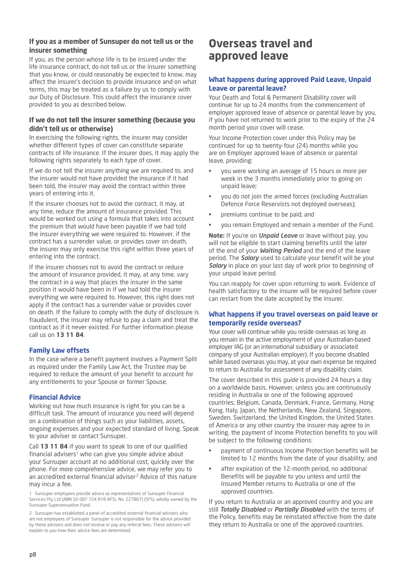# **If you as a member of Sunsuper do not tell us or the insurer something**

If you, as the person whose life is to be insured under the life insurance contract, do not tell us or the insurer something that you know, or could reasonably be expected to know, may affect the insurer's decision to provide insurance and on what terms, this may be treated as a failure by us to comply with our Duty of Disclosure. This could affect the insurance cover provided to you as described below.

# **If we do not tell the insurer something (because you didn't tell us or otherwise)**

In exercising the following rights, the insurer may consider whether different types of cover can constitute separate contracts of life insurance. If the insurer does, it may apply the following rights separately to each type of cover.

If we do not tell the insurer anything we are required to, and the insurer would not have provided the insurance if it had been told, the insurer may avoid the contract within three years of entering into it.

If the insurer chooses not to avoid the contract, it may, at any time, reduce the amount of insurance provided. This would be worked out using a formula that takes into account the premium that would have been payable if we had told the insurer everything we were required to. However, if the contract has a surrender value, or provides cover on death, the insurer may only exercise this right within three years of entering into the contract.

If the insurer chooses not to avoid the contract or reduce the amount of insurance provided, it may, at any time, vary the contract in a way that places the insurer in the same position it would have been in if we had told the insurer everything we were required to. However, this right does not apply if the contract has a surrender value or provides cover on death. If the failure to comply with the duty of disclosure is fraudulent, the insurer may refuse to pay a claim and treat the contract as if it never existed. For further information please call us on **13 11 84**.

# **Family Law offsets**

In the case where a benefit payment involves a Payment Split as required under the Family Law Act, the Trustee may be required to reduce the amount of your benefit to account for any entitlements to your Spouse or former Spouse.

# **Financial Advice**

Working out how much insurance is right for you can be a difficult task. The amount of insurance you need will depend on a combination of things such as your liabilities, assets, ongoing expenses and your expected standard of living. Speak to your adviser or contact Sunsuper.

Call **13 11 84** if you want to speak to one of our qualified financial advisers<sup>1</sup> who can give you simple advice about your Sunsuper account at no additional cost, quickly over the phone. For more comprehensive advice, we may refer you to an accredited external financial adviser<sup>2</sup> Advice of this nature may incur a fee.

1 Sunsuper employees provide advice as representatives of Sunsuper Financial Services Pty Ltd (ABN 50 087 154 818 AFSL No. 227867) (SFS), wholly owned by the Sunsuper Superannuation Fund.

2 Sunsuper has established a panel of accredited external financial advisers who are not employees of Sunsuper. Sunsuper is not responsible for the advice provided by these advisers and does not receive or pay any referral fees. These advisers will explain to you how their advice fees are determined.

# **Overseas travel and approved leave**

# **What happens during approved Paid Leave, Unpaid Leave or parental leave?**

Your Death and Total & Permanent Disability cover will continue for up to 24 months from the commencement of employer approved leave of absence or parental leave by you, if you have not returned to work prior to the expiry of the 24 month period your cover will cease.

Your Income Protection cover under this Policy may be continued for up to twenty-four (24) months while you are on Employer approved leave of absence or parental leave, providing:

- you were working an average of 15 hours or more per week in the 3 months immediately prior to going on unpaid leave;
- you do not join the armed forces (excluding Australian Defence Force Reservists not deployed overseas);
- premiums continue to be paid; and
- you remain Employed and remain a member of the Fund.

**Note:** If you're on *Unpaid Leave* or leave without pay, you will not be eligible to start claiming benefits until the later of the end of your *Waiting Period* and the end of the leave period. The *Salary* used to calculate your benefit will be your *Salary* in place on your last day of work prior to beginning of your unpaid leave period.

You can reapply for cover upon returning to work. Evidence of health satisfactory to the insurer will be required before cover can restart from the date accepted by the insurer.

# **What happens if you travel overseas on paid leave or temporarily reside overseas?**

Your cover will continue while you reside overseas as long as you remain in the active employment of your Australian-based employer IAG (or an international subsidiary or associated company of your Australian employer). If you become disabled while based overseas you may, at your own expense be required to return to Australia for assessment of any disability claim.

The cover described in this *guide* is provided 24 hours a day on a worldwide basis. However, unless you are continuously residing in Australia or one of the following approved countries; Belgium, Canada, Denmark, France, Germany, Hong Kong, Italy, Japan, the Netherlands, New Zealand, Singapore, Sweden, Switzerland, the United Kingdom, the United States of America or any other country the insurer may agree to in writing, the payment of Income Protection benefits to you will be subject to the following conditions:

- payment of continuous Income Protection benefits will be limited to 12 months from the date of your disability; and
- after expiration of the 12-month period, no additional Benefits will be payable to you unless and until the Insured Member returns to Australia or one of the approved countries.

If you return to Australia or an approved country and you are still *Totally Disabled* or *Partially Disabled* with the terms of the Policy, benefits may be reinstated effective from the date they return to Australia or one of the approved countries.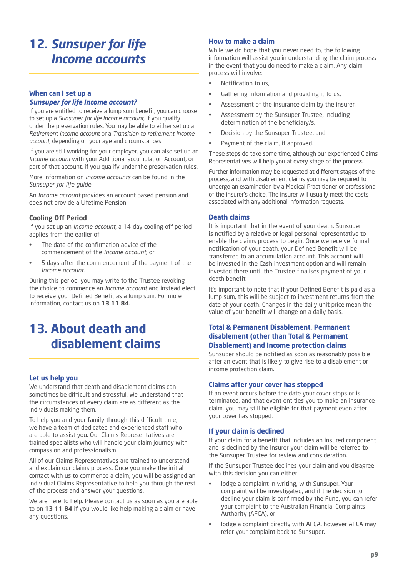# **12.** *Sunsuper for life Income accounts*

# **When can I set up a**

# *Sunsuper for life Income account?*

If you are entitled to receive a lump sum benefit, you can choose to set up a *Sunsuper for life Income account*, if you qualify under the preservation rules. You may be able to either set up a *Retirement income account* or a *Transition to retirement income account*, depending on your age and circumstances.

If you are still working for your employer, you can also set up an *Income account* with your Additional accumulation Account, or part of that account, if you qualify under the preservation rules.

More information on *Income accounts* can be found in the *Sunsuper for life guide*.

An *Income account* provides an account based pension and does not provide a Lifetime Pension.

# **Cooling Off Period**

If you set up an *Income account*, a 14-day cooling off period applies from the earlier of:

- The date of the confirmation advice of the commencement of the *Income account*, or
- 5 days after the commencement of the payment of the *Income account*.

During this period, you may write to the Trustee revoking the choice to commence an *Income account* and instead elect to receive your Defined Benefit as a lump sum. For more information, contact us on **13 11 84**.

# **13. About death and disablement claims**

# **Let us help you**

We understand that death and disablement claims can sometimes be difficult and stressful. We understand that the circumstances of every claim are as different as the individuals making them.

To help you and your family through this difficult time, we have a team of dedicated and experienced staff who are able to assist you. Our Claims Representatives are trained specialists who will handle your claim journey with compassion and professionalism.

All of our Claims Representatives are trained to understand and explain our claims process. Once you make the initial contact with us to commence a claim, you will be assigned an individual Claims Representative to help you through the rest of the process and answer your questions.

We are here to help. Please contact us as soon as you are able to on **13 11 84** if you would like help making a claim or have any questions.

### **How to make a claim**

While we do hope that you never need to, the following information will assist you in understanding the claim process in the event that you do need to make a claim. Any claim process will involve:

- Notification to us,
- Gathering information and providing it to us,
- Assessment of the insurance claim by the insurer,
- Assessment by the Sunsuper Trustee, including determination of the beneficiary/s,
- Decision by the Sunsuper Trustee, and
- Payment of the claim, if approved.

These steps do take some time, although our experienced Claims Representatives will help you at every stage of the process.

Further information may be requested at different stages of the process, and with disablement claims you may be required to undergo an examination by a Medical Practitioner or professional of the insurer's choice. The insurer will usually meet the costs associated with any additional information requests.

### **Death claims**

It is important that in the event of your death, Sunsuper is notified by a relative or legal personal representative to enable the claims process to begin. Once we receive formal notification of your death, your Defined Benefit will be transferred to an accumulation account. This account will be invested in the Cash investment option and will remain invested there until the Trustee finalises payment of your death benefit.

It's important to note that if your Defined Benefit is paid as a lump sum, this will be subject to investment returns from the date of your death. Changes in the daily unit price mean the value of your benefit will change on a daily basis.

# **Total & Permanent Disablement, Permanent disablement (other than Total & Permanent Disablement) and Income protection claims**

Sunsuper should be notified as soon as reasonably possible after an event that is likely to give rise to a disablement or income protection claim.

#### **Claims after your cover has stopped**

If an event occurs before the date your cover stops or is terminated, and that event entitles you to make an insurance claim, you may still be eligible for that payment even after your cover has stopped.

# **If your claim is declined**

If your claim for a benefit that includes an insured component and is declined by the Insurer your claim will be referred to the Sunsuper Trustee for review and consideration.

If the Sunsuper Trustee declines your claim and you disagree with this decision you can either:

- lodge a complaint in writing, with Sunsuper. Your complaint will be investigated, and if the decision to decline your claim is confirmed by the Fund, you can refer your complaint to the Australian Financial Complaints Authority (AFCA), or
- lodge a complaint directly with AFCA, however AFCA may refer your complaint back to Sunsuper.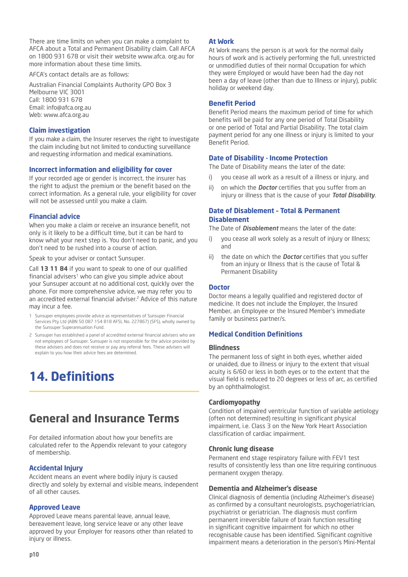There are time limits on when you can make a complaint to AFCA about a Total and Permanent Disability claim. Call AFCA on 1800 931 678 or visit their website www.afca. org.au for more information about these time limits.

AFCA's contact details are as follows:

Australian Financial Complaints Authority GPO Box 3 Melbourne VIC 3001 Call: 1800 931 678 Email: info@afca.org.au Web: www.afca.org.au

#### **Claim investigation**

If you make a claim, the Insurer reserves the right to investigate the claim including but not limited to conducting surveillance and requesting information and medical examinations.

### **Incorrect information and eligibility for cover**

If your recorded age or gender is incorrect, the insurer has the right to adjust the premium or the benefit based on the correct information. As a general rule, your eligibility for cover will not be assessed until you make a claim.

#### **Financial advice**

When you make a claim or receive an insurance benefit, not only is it likely to be a difficult time, but it can be hard to know what your next step is. You don't need to panic, and you don't need to be rushed into a course of action.

Speak to your adviser or contact Sunsuper.

Call **13 11 84** if you want to speak to one of our qualified financial advisers<sup>1</sup> who can give you simple advice about your Sunsuper account at no additional cost, quickly over the phone. For more comprehensive advice, we may refer you to an accredited external financial adviser.<sup>2</sup> Advice of this nature may incur a fee.

- 1 Sunsuper employees provide advice as representatives of Sunsuper Financial Services Pty Ltd (ABN 50 087 154 818 AFSL No. 227867) (SFS), wholly owned by the Sunsuper Superannuation Fund.
- 2 Sunsuper has established a panel of accredited external financial advisers who are not employees of Sunsuper. Sunsuper is not responsible for the advice provided by these advisers and does not receive or pay any referral fees. These advisers will explain to you how their advice fees are determined.

# **14. Definitions**

# **General and Insurance Terms**

For detailed information about how your benefits are calculated refer to the Appendix relevant to your category of membership.

# **Accidental Injury**

Accident means an event where bodily injury is caused directly and solely by external and visible means, independent of all other causes.

# **Approved Leave**

Approved Leave means parental leave, annual leave, bereavement leave, long service leave or any other leave approved by your Employer for reasons other than related to injury or illness.

## **At Work**

At Work means the person is at work for the normal daily hours of work and is actively performing the full, unrestricted or unmodified duties of their normal Occupation for which they were Employed or would have been had the day not been a day of leave (other than due to Illness or injury), public holiday or weekend day.

### **Benefit Period**

Benefit Period means the maximum period of time for which benefits will be paid for any one period of Total Disability or one period of Total and Partial Disability. The total claim payment period for any one illness or injury is limited to your Benefit Period.

# **Date of Disability - Income Protection**

The Date of Disability means the later of the date:

- i) you cease all work as a result of a illness or injury, and
- ii) on which the *Doctor* certifies that you suffer from an injury or illness that is the cause of your *Total Disability*.

# **Date of Disablement – Total & Permanent Disablement**

The Date of *Disablement* means the later of the date:

- i) vou cease all work solely as a result of injury or Illness: and
- ii) the date on which the *Doctor* certifies that you suffer from an injury or Illness that is the cause of Total & Permanent Disability

#### **Doctor**

Doctor means a legally qualified and registered doctor of medicine. It does not include the Employer, the Insured Member, an Employee or the Insured Member's immediate family or business partner/s.

# **Medical Condition Definitions**

#### **Blindness**

The permanent loss of sight in both eyes, whether aided or unaided, due to illness or injury to the extent that visual acuity is 6/60 or less in both eyes or to the extent that the visual field is reduced to 20 degrees or less of arc, as certified by an ophthalmologist.

#### **Cardiomyopathy**

Condition of impaired ventricular function of variable aetiology (often not determined) resulting in significant physical impairment, i.e. Class 3 on the New York Heart Association classification of cardiac impairment.

#### **Chronic lung disease**

Permanent end stage respiratory failure with FEV1 test results of consistently less than one litre requiring continuous permanent oxygen therapy.

#### **Dementia and Alzheimer's disease**

Clinical diagnosis of dementia (including Alzheimer's disease) as confirmed by a consultant neurologists, psychogeriatrician, psychiatrist or geriatrician. The diagnosis must confirm permanent irreversible failure of brain function resulting in significant cognitive impairment for which no other recognisable cause has been identified. Significant cognitive impairment means a deterioration in the person's Mini-Mental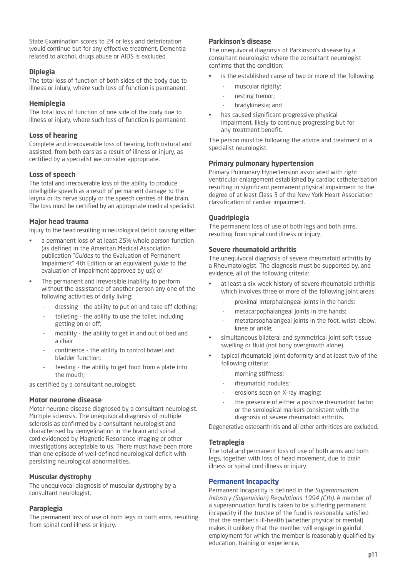State Examination scores to 24 or less and deterioration would continue but for any effective treatment. Dementia related to alcohol, druqs abuse or AIDS is excluded.

## **Diplegia**

The total loss of function of both sides of the body due to illness or inlury, where such loss of function is permanent.

### **Hemiplegia**

The total loss of function of one side of the body due to illness or injury, where such loss of function is permanent.

### **Loss of hearing**

Complete and irrecoverable loss of hearing, both natural and assisted, from both ears as a result of illness or injury, as certified by a specialist we consider appropriate.

# **Loss of speech**

The total and irrecoverable loss of the ability to produce intelligible speech as a result of permanent damage to the larynx or its nerve supply or the speech centres of the brain. The loss must be certified by an appropriate medical specialist.

# **Major head trauma**

Injury to the head resulting in neurological deficit causing either:

- a permanent loss of at least 25% whole person function (as defined in the American Medical Association publication "*Guides* to the Evaluation of Permanent Impairment" 4th Edition or an equivalent *guide* to the evaluation of impairment approved by us); or
- The permanent and irreversible inability to perform without the assistance of another person any one of the following activities of daily living:
	- dressing the ability to put on and take off clothing;
	- toileting the ability to use the toilet, including getting on or off;
	- mobility the ability to get in and out of bed and a chair
	- continence the ability to control bowel and bladder function;
	- feeding the ability to get food from a plate into the mouth;

as certified by a consultant neurologist.

#### **Motor neurone disease**

Motor neurone disease diagnosed by a consultant neurologist. Multiple sclerosis. The unequivocal diagnosis of multiple sclerosis as confirmed by a consultant neurologist and characterised by demyelination in the brain and spinal cord evidenced by Magnetic Resonance Imaging or other investigations acceptable to us. There must have been more than one episode of well-defined neurological deficit with persisting neurological abnormalities.

# **Muscular dystrophy**

The unequivocal diagnosis of muscular dystrophy by a consultant neurologist.

# **Paraplegia**

The permanent loss of use of both legs or both arms, resulting from spinal cord illness or injury.

# **Parkinson's disease**

The unequivocal diagnosis of Parkinson's disease by a consultant neurologist where the consultant neurologist confirms that the condition:

- is the established cause of two or more of the following:
	- muscular rigidity;
	- resting tremor;
	- bradykinesia; and
- has caused significant progressive physical impairment, likely to continue progressing but for any treatment benefit.

The person must be following the advice and treatment of a specialist neurologist.

#### **Primary pulmonary hypertension**

Primary Pulmonary Hypertension associated with right ventricular enlargement established by cardiac catheterisation resulting in significant permanent physical impairment to the degree of at least Class 3 of the New York Heart Association classification of cardiac impairment.

#### **Quadriplegia**

The permanent loss of use of both legs and both arms, resulting from spinal cord illness or injury.

### **Severe rheumatoid arthritis**

The unequivocal diagnosis of severe rheumatoid arthritis by a Rheumatologist. The diagnosis must be supported by, and evidence, all of the following criteria:

- at least a six week history of severe rheumatoid arthritis which involves three or more of the following joint areas:
	- proximal interphalangeal joints in the hands;
	- metacarpophalangeal joints in the hands;
	- metatarsophalangeal joints in the foot, wrist, elbow, knee or ankle;
- simultaneous bilateral and symmetrical loint soft tissue swelling or fluid (not bony overgrowth alone)
- typical rheumatoid joint deformity and at least two of the following criteria:
	- morning stiffness;
	- rheumatoid nodules;
	- erosions seen on X-ray imaging;
	- the presence of either a positive rheumatoid factor or the serological markers consistent with the diagnosis of severe rheumatoid arthritis.

Degenerative osteoarthritis and all other arthritides are excluded.

#### **Tetraplegia**

The total and permanent loss of use of both arms and both legs, together with loss of head movement, due to brain illness or spinal cord illness or injury.

#### **Permanent Incapacity**

Permanent Incapacity is defined in the *Superannuation Industry (Supervision) Regulations 1994 (Cth)*. A member of a superannuation fund is taken to be suffering permanent incapacity if the trustee of the fund is reasonably satisfied that the member's ill-health (whether physical or mental) makes it unlikely that the member will engage in gainful employment for which the member is reasonably qualified by education, training or experience.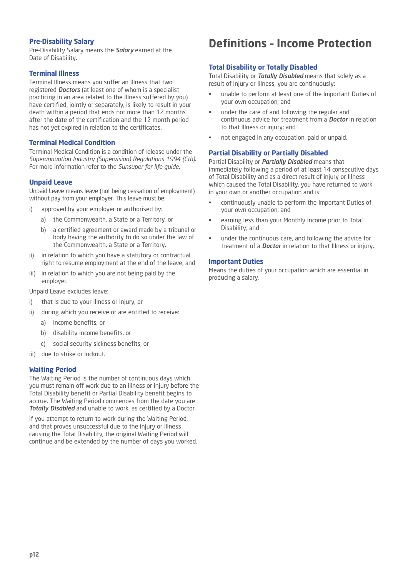# **Pre-Disability Salary**

Pre-Disability Salary means the *Salary* earned at the Date of Disability.

## **Terminal Illness**

Terminal Illness means you suffer an Illness that two registered *Doctors* (at least one of whom is a specialist practicing in an area related to the Illness suffered by you) have certified, jointly or separately, is likely to result in your death within a period that ends not more than 12 months after the date of the certification and the 12 month period has not yet expired in relation to the certificates.

## **Terminal Medical Condition**

Terminal Medical Condition is a condition of release under the *Superannuation Industry (Supervision) Regulations 1994 (Cth)*. For more information refer to the *Sunsuper for life guide*.

### **Unpaid Leave**

Unpaid Leave means leave (not being cessation of employment) without pay from your employer. This leave must be:

- i) approved by your employer or authorised by:
	- a) the Commonwealth, a State or a Territory, or
	- b) a certified agreement or award made by a tribunal or body having the authority to do so under the law of the Commonwealth, a State or a Territory.
- ii) in relation to which you have a statutory or contractual right to resume employment at the end of the leave, and
- iii) in relation to which you are not being paid by the employer.

Unpaid Leave excludes leave:

- i) that is due to your illness or injury, or
- ii) during which you receive or are entitled to receive:
	- a) income benefits, or
	- b) disability income benefits, or
	- c) social security sickness benefits, or
- iii) due to strike or lockout.

#### **Waiting Period**

The Waiting Period is the number of continuous days which you must remain off work due to an illness or injury before the Total Disability benefit or Partial Disability benefit begins to accrue. The Waiting Period commences from the date you are *Totally Disabled* and unable to work, as certified by a Doctor.

If you attempt to return to work during the Waiting Period, and that proves unsuccessful due to the injury or illness causing the Total Disability, the original Waiting Period will continue and be extended by the number of days you worked.

# **Definitions – Income Protection**

### **Total Disability or Totally Disabled**

Total Disability or *Totally Disabled* means that solely as a result of injury or Illness, you are continuously:

- unable to perform at least one of the Important Duties of your own occupation; and
- under the care of and following the regular and continuous advice for treatment from a *Doctor* in relation to that Illness or injury; and
- not engaged in any occupation, paid or unpaid.

### **Partial Disability or Partially Disabled**

Partial Disability or *Partially Disabled* means that immediately following a period of at least 14 consecutive days of Total Disability and as a direct result of injury or Illness which caused the Total Disability, you have returned to work in your own or another occupation and is:

- continuously unable to perform the Important Duties of your own occupation; and
- earning less than your Monthly Income prior to Total Disability; and
- under the continuous care, and following the advice for treatment of a *Doctor* in relation to that Illness or injury.

#### **Important Duties**

Means the duties of your occupation which are essential in producing a salary.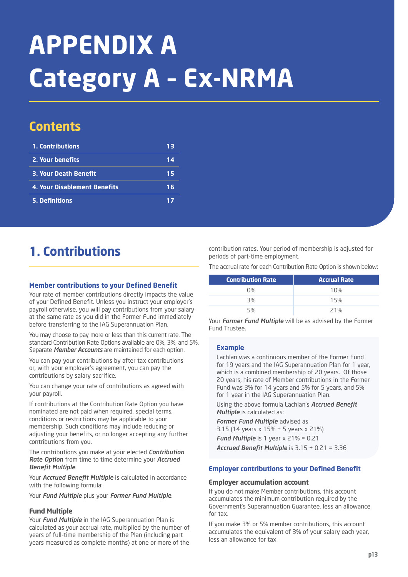# **APPENDIX A Category A – Ex-NRMA**

# **Contents**

| 1. Contributions             | 13 |
|------------------------------|----|
| 2. Your benefits             | 14 |
| <b>3. Your Death Benefit</b> | 15 |
| 4. Your Disablement Benefits | 16 |
| <b>5. Definitions</b>        |    |

# **1. Contributions**

## **Member contributions to your Defined Benefit**

Your rate of member contributions directly impacts the value of your Defined Benefit. Unless you instruct your employer's payroll otherwise, you will pay contributions from your salary at the same rate as you did in the Former Fund immediately before transferring to the IAG Superannuation Plan.

You may choose to pay more or less than this current rate. The standard Contribution Rate Options available are 0%, 3%, and 5%. Separate *Member Accounts* are maintained for each option.

You can pay your contributions by after tax contributions or, with your employer's agreement, you can pay the contributions by salary sacrifice.

You can change your rate of contributions as agreed with your payroll.

If contributions at the Contribution Rate Option you have nominated are not paid when required, special terms, conditions or restrictions may be applicable to your membership. Such conditions may include reducing or adjusting your benefits, or no longer accepting any further contributions from you.

The contributions you make at your elected *Contribution Rate Option* from time to time determine your *Accrued Benefit Multiple*.

Your *Accrued Benefit Multiple* is calculated in accordance with the following formula:

Your *Fund Multiple* plus your *Former Fund Multiple*.

# **Fund Multiple**

Your *Fund Multiple* in the IAG Superannuation Plan is calculated as your accrual rate, multiplied by the number of years of full-time membership of the Plan (including part years measured as complete months) at one or more of the

contribution rates. Your period of membership is adjusted for periods of part-time employment.

The accrual rate for each Contribution Rate Option is shown below:

| <b>Contribution Rate</b> | <b>Accrual Rate</b> |
|--------------------------|---------------------|
| $0\%$                    | 10%                 |
| 3%                       | 15%                 |
| 5%                       | 21%                 |

Your *Former Fund Multiple* will be as advised by the Former Fund Trustee.

# **Example**

Lachlan was a continuous member of the Former Fund for 19 years and the IAG Superannuation Plan for 1 year, which is a combined membership of 20 years. Of those 20 years, his rate of Member contributions in the Former Fund was 3% for 14 years and 5% for 5 years, and 5% for 1 year in the IAG Superannuation Plan.

Using the above formula Lachlan's *Accrued Benefit Multiple* is calculated as:

*Former Fund Multiple* advised as 3.15 (14 years x 15% + 5 years x 21%)

*Fund Multiple* is 1 year x 21% = 0.21 *Accrued Benefit Multiple* is 3.15 + 0.21 = 3.36

# **Employer contributions to your Defined Benefit**

### **Employer accumulation account**

If you do not make Member contributions, this account accumulates the minimum contribution required by the Government's Superannuation Guarantee, less an allowance for tax.

If you make 3% or 5% member contributions, this account accumulates the equivalent of 3% of your salary each year, less an allowance for tax.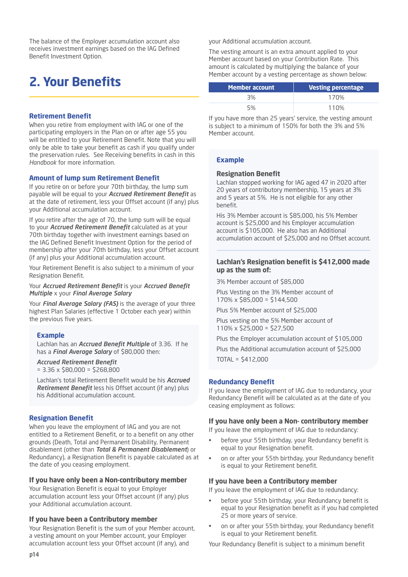The balance of the Employer accumulation account also receives investment earnings based on the IAG Defined Benefit Investment Option.

# **2. Your Benefits**

### **Retirement Benefit**

When you retire from employment with IAG or one of the participating employers in the Plan on or after age 55 you will be entitled to your Retirement Benefit. Note that you will only be able to take your benefit as cash if you qualify under the preservation rules. See Receiving benefits in cash in this *Handbook* for more information.

# **Amount of lump sum Retirement Benefit**

If you retire on or before your 70th birthday, the lump sum payable will be equal to your *Accrued Retirement Benefit* as at the date of retirement, less your Offset account (if any) plus your Additional accumulation account.

If you retire after the age of 70, the lump sum will be equal to your *Accrued Retirement Benefit* calculated as at your 70th birthday together with investment earnings based on the IAG Defined Benefit Investment Option for the period of membership after your 70th birthday, less your Offset account (if any) plus your Additional accumulation account.

Your Retirement Benefit is also subject to a minimum of your Resignation Benefit.

#### Your *Accrued Retirement Benefit* is your *Accrued Benefit Multiple* x your *Final Average Salary*

Your *Final Average Salary (FAS)* is the average of your three highest Plan Salaries (effective 1 October each year) within the previous five years.

#### **Example**

Lachlan has an *Accrued Benefit Multiple* of 3.36. If he has a *Final Average Salary* of \$80,000 then:

# *Accrued Retirement Benefit*

 $= 3.36 \times $80.000 = $268.800$ 

Lachlan's total Retirement Benefit would be his *Accrued Retirement Benefit* less his Offset account (if any) plus his Additional accumulation account.

#### **Resignation Benefit**

When you leave the employment of IAG and you are not entitled to a Retirement Benefit, or to a benefit on any other grounds (Death, Total and Permanent Disability, Permanent disablement (other than *Total & Permanent Disablement*) or Redundancy), a Resignation Benefit is payable calculated as at the date of you ceasing employment.

#### **If you have only been a Non-contributory member**

Your Resignation Benefit is equal to your Employer accumulation account less your Offset account (if any) plus your Additional accumulation account.

#### **If you have been a Contributory member**

Your Resignation Benefit is the sum of your Member account, a vesting amount on your Member account, your Employer accumulation account less your Offset account (if any), and

your Additional accumulation account.

The vesting amount is an extra amount applied to your Member account based on your Contribution Rate. This amount is calculated by multiplying the balance of your Member account by a vesting percentage as shown below:

| <b>Member account</b> | <b>Vesting percentage</b> |
|-----------------------|---------------------------|
| 3%                    | 170%                      |
| 5%                    | 110%                      |

If you have more than 25 years' service, the vesting amount is subject to a minimum of 150% for both the 3% and 5% Member account.

### **Example**

#### **Resignation Benefit**

Lachlan stopped working for IAG aged 47 in 2020 after 20 years of contributory membership, 15 years at 3% and 5 years at 5%. He is not eligible for any other benefit.

His 3% Member account is \$85,000, his 5% Member account is \$25,000 and his Employer accumulation account is \$105,000. He also has an Additional accumulation account of \$25,000 and no Offset account.

### **Lachlan's Resignation benefit is \$412,000 made up as the sum of:**

3% Member account of \$85,000

Plus Vesting on the 3% Member account of 170% x \$85,000 = \$144,500

Plus 5% Member account of \$25,000

Plus vesting on the 5% Member account of 110% x \$25,000 = \$27,500

Plus the Employer accumulation account of \$105,000

Plus the Additional accumulation account of \$25,000 TOTAL = \$412,000

# **Redundancy Benefit**

If you leave the employment of IAG due to redundancy, your Redundancy Benefit will be calculated as at the date of you ceasing employment as follows:

#### **If you have only been a Non- contributory member**

If you leave the employment of IAG due to redundancy:

- before your 55th birthday, your Redundancy benefit is equal to your Resignation benefit.
- on or after your 55th birthday, your Redundancy benefit is equal to your Retirement benefit.

#### **If you have been a Contributory member**

If you leave the employment of IAG due to redundancy:

- before your 55th birthday, your Redundancy benefit is equal to your Resignation benefit as if you had completed 25 or more years of service.
- on or after your 55th birthday, your Redundancy benefit is equal to your Retirement benefit.

Your Redundancy Benefit is subject to a minimum benefit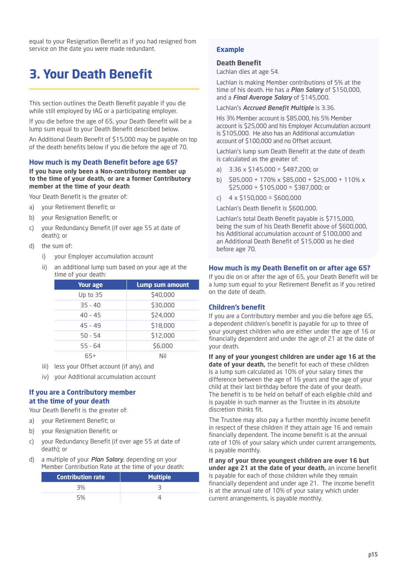equal to your Resignation Benefit as if you had resigned from service on the date you were made redundant.

# **3. Your Death Benefit**

This section outlines the Death Benefit payable if you die while still employed by IAG or a participating employer.

If you die before the age of 65, your Death Benefit will be a lump sum equal to your Death Benefit described below.

An Additional Death Benefit of \$15,000 may be payable on top of the death benefits below if you die before the age of 70.

#### **How much is my Death Benefit before age 65?**

#### **If you have only been a Non-contributory member up to the time of your death, or are a former Contributory member at the time of your death**

Your Death Benefit is the greater of:

- a) your Retirement Benefit; or
- b) your Resignation Benefit; or
- c) your Redundancy Benefit (if over age 55 at date of death); or
- d) the sum of:
	- i) your Employer accumulation account
	- ii) an additional lump sum based on your age at the time of your death:

| <b>Your age</b> | Lump sum amount |
|-----------------|-----------------|
| Up to 35        | \$40,000        |
| $35 - 40$       | \$30,000        |
| $40 - 45$       | \$24,000        |
| $45 - 49$       | \$18,000        |
| $50 - 54$       | \$12,000        |
| $55 - 64$       | \$6,000         |
|                 | Nil             |

iii) less your Offset account (if any), and

iv) your Additional accumulation account

#### **If you are a Contributory member at the time of your death**

Your Death Benefit is the greater of:

- a) your Retirement Benefit; or
- b) your Resignation Benefit; or
- c) your Redundancy Benefit (if over age 55 at date of death); or
- d) a multiple of your *Plan Salary*, depending on your Member Contribution Rate at the time of your death:

| <b>Contribution rate</b> | <b>Multiple</b> |
|--------------------------|-----------------|
| 3%                       |                 |
|                          |                 |

# **Example**

#### **Death Benefit**

Lachlan dies at age 54.

Lachlan is making Member contributions of 5% at the time of his death. He has a *Plan Salary* of \$150,000, and a *Final Average Salary* of \$145,000.

Lachlan's *Accrued Benefit Multiple* is 3.36.

His 3% Member account is \$85,000, his 5% Member account is \$25,000 and his Employer Accumulation account is \$105,000. He also has an Additional accumulation account of \$100,000 and no Offset account.

Lachlan's lump sum Death Benefit at the date of death is calculated as the greater of:

- a) 3.36 x \$145,000 = \$487,200; or
- b) \$85,000 + 170% x \$85,000 + \$25,000 + 110% x \$25,000 + \$105,000 = \$387,000; or
- c)  $4 \times $150,000 = $600,000$

Lachlan's Death Benefit is \$600,000.

Lachlan's total Death Benefit payable is \$715,000, being the sum of his Death Benefit above of \$600,000, his Additional accumulation account of \$100,000 and an Additional Death Benefit of \$15,000 as he died before age 70.

#### **How much is my Death Benefit on or after age 65?**

If you die on or after the age of 65, your Death Benefit will be a lump sum equal to your Retirement Benefit as if you retired on the date of death.

#### **Children's benefit**

If you are a Contributory member and you die before age 65, a dependent children's benefit is payable for up to three of your youngest children who are either under the age of 16 or financially dependent and under the age of 21 at the date of your death.

**If any of your youngest children are under age 16 at the date of your death,** the benefit for each of these children is a lump sum calculated as 10% of your salary times the difference between the age of 16 years and the age of your child at their last birthday before the date of your death. The benefit is to be held on behalf of each eligible child and is payable in such manner as the Trustee in its absolute discretion thinks fit.

The Trustee may also pay a further monthly income benefit in respect of these children if they attain age 16 and remain financially dependent. The income benefit is at the annual rate of 10% of your salary which under current arrangements, is payable monthly.

**If any of your three youngest children are over 16 but under age 21 at the date of your death,** an income benefit is payable for each of those children while they remain financially dependent and under age 21. The income benefit is at the annual rate of 10% of your salary which under current arrangements, is payable monthly.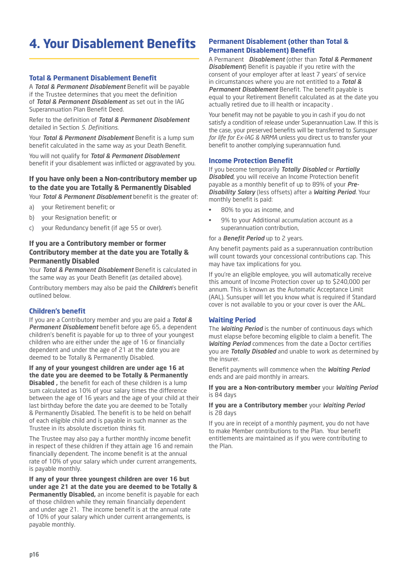# **4. Your Disablement Benefits**

# **Total & Permanent Disablement Benefit**

A *Total & Permanent Disablement* Benefit will be payable if the Trustee determines that you meet the definition of *Total & Permanent Disablement* as set out in the IAG Superannuation Plan Benefit Deed.

Refer to the definition of *Total & Permanent Disablement* detailed in Section *5. Definitions*.

Your *Total & Permanent Disablement* Benefit is a lump sum benefit calculated in the same way as your Death Benefit.

You will not qualify for *Total & Permanent Disablement* benefit if your disablement was inflicted or aggravated by you.

## **If you have only been a Non-contributory member up to the date you are Totally & Permanently Disabled** Your *Total & Permanent Disablement* benefit is the greater of:

a) your Retirement benefit; or

- b) your Resignation benefit; or
- c) your Redundancy benefit (if age 55 or over).

# **If you are a Contributory member or former Contributory member at the date you are Totally & Permanently Disabled**

Your *Total & Permanent Disablement* Benefit is calculated in the same way as your Death Benefit (as detailed above).

Contributory members may also be paid the *Children*'s benefit outlined below.

# **Children's benefit**

If you are a Contributory member and you are paid a *Total & Permanent Disablement* benefit before age 65, a dependent children's benefit is payable for up to three of your youngest children who are either under the age of 16 or financially dependent and under the age of 21 at the date you are deemed to be Totally & Permanently Disabled.

**If any of your youngest children are under age 16 at the date you are deemed to be Totally & Permanently Disabled ,** the benefit for each of these children is a lump sum calculated as 10% of your salary times the difference between the age of 16 years and the age of your child at their last birthday before the date you are deemed to be Totally & Permanently Disabled. The benefit is to be held on behalf of each eligible child and is payable in such manner as the Trustee in its absolute discretion thinks fit.

The Trustee may also pay a further monthly income benefit in respect of these children if they attain age 16 and remain financially dependent. The income benefit is at the annual rate of 10% of your salary which under current arrangements, is payable monthly.

**If any of your three youngest children are over 16 but under age 21 at the date you are deemed to be Totally & Permanently Disabled,** an income benefit is payable for each of those children while they remain financially dependent and under age 21. The income benefit is at the annual rate of 10% of your salary which under current arrangements, is payable monthly.

# **Permanent Disablement (other than Total & Permanent Disablement) Benefit**

A Permanent *Disablement* (other than *Total & Permanent Disablement*) Benefit is payable if you retire with the consent of your employer after at least 7 years' of service in circumstances where you are not entitled to a *Total & Permanent Disablement* Benefit. The benefit payable is equal to your Retirement Benefit calculated as at the date you actually retired due to ill health or incapacity .

Your benefit may not be payable to you in cash if you do not satisfy a condition of release under Superannuation Law. If this is the case, your preserved benefits will be transferred to *Sunsuper for life for Ex-IAG & NRMA* unless you direct us to transfer your benefit to another complying superannuation fund.

### **Income Protection Benefit**

If you become temporarily *Totally Disabled* or *Partially Disabled*, you will receive an Income Protection benefit payable as a monthly benefit of up to 89% of your *Pre-Disability Salary* (less offsets) after a *Waiting Period*. Your monthly benefit is paid:

- 80% to you as income, and
- 9% to your Additional accumulation account as a superannuation contribution,

#### for a *Benefit Period* up to 2 years.

Any benefit payments paid as a superannuation contribution will count towards your concessional contributions cap. This may have tax implications for you.

If you're an eligible employee, you will automatically receive this amount of Income Protection cover up to \$240,000 per annum. This is known as the Automatic Acceptance Limit (AAL). Sunsuper will let you know what is required if Standard cover is not available to you or your cover is over the AAL.

# **Waiting Period**

The *Waiting Period* is the number of continuous days which must elapse before becoming eligible to claim a benefit. The *Waiting Period* commences from the date a Doctor certifies you are *Totally Disabled* and unable to work as determined by the insurer.

Benefit payments will commence when the *Waiting Period* ends and are paid monthly in arrears.

#### **If you are a Non-contributory member** your *Waiting Period* is 84 days

#### **If you are a Contributory member** your *Waiting Period* is 28 days

If you are in receipt of a monthly payment, you do not have to make Member contributions to the Plan. Your benefit entitlements are maintained as if you were contributing to the Plan.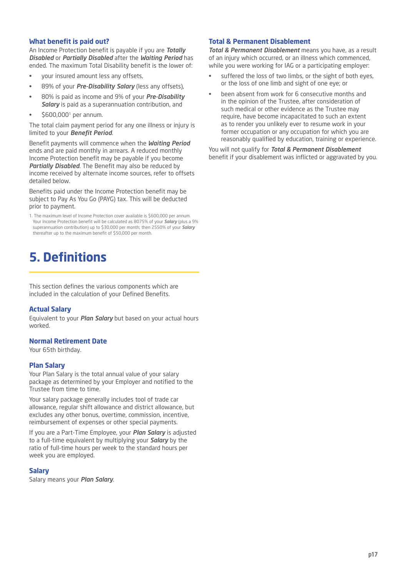### **What benefit is paid out?**

An Income Protection benefit is payable if you are *Totally Disabled* or *Partially Disabled* after the *Waiting Period* has ended. The maximum Total Disability benefit is the lower of:

- your insured amount less any offsets,
- 89% of your *Pre-Disability Salary* (less any offsets),
- 80% is paid as income and 9% of your *Pre-Disability Salary* is paid as a superannuation contribution, and
- \$600,0001 per annum.

The total claim payment period for any one illness or injury is limited to your *Benefit Period*.

Benefit payments will commence when the *Waiting Period* ends and are paid monthly in arrears. A reduced monthly Income Protection benefit may be payable if you become *Partially Disabled*. The Benefit may also be reduced by income received by alternate income sources, refer to offsets detailed below.

Benefits paid under the Income Protection benefit may be subject to Pay As You Go (PAYG) tax. This will be deducted prior to payment.

1. The maximum level of Income Protection cover available is \$600,000 per annum. Your Income Protection benefit will be calculated as 8075% of your *Salary* (plus a 9% superannuation contribution) up to \$30,000 per month; then 2550% of your *Salary* thereafter up to the maximum benefit of \$50,000 per month.

# **5. Definitions**

This section defines the various components which are included in the calculation of your Defined Benefits.

#### **Actual Salary**

Equivalent to your *Plan Salary* but based on your actual hours worked.

# **Normal Retirement Date**

Your 65th birthday.

#### **Plan Salary**

Your Plan Salary is the total annual value of your salary package as determined by your Employer and notified to the Trustee from time to time.

Your salary package generally includes tool of trade car allowance, regular shift allowance and district allowance, but excludes any other bonus, overtime, commission, incentive, reimbursement of expenses or other special payments.

If you are a Part-Time Employee, your *Plan Salary* is adjusted to a full-time equivalent by multiplying your *Salary* by the ratio of full-time hours per week to the standard hours per week you are employed.

#### **Salary**

Salary means your *Plan Salary*.

# **Total & Permanent Disablement**

*Total & Permanent Disablement* means you have, as a result of an injury which occurred, or an illness which commenced, while you were working for IAG or a participating employer:

- suffered the loss of two limbs, or the sight of both eyes, or the loss of one limb and sight of one eye; or
- been absent from work for 6 consecutive months and in the opinion of the Trustee, after consideration of such medical or other evidence as the Trustee may require, have become incapacitated to such an extent as to render you unlikely ever to resume work in your former occupation or any occupation for which you are reasonably qualified by education, training or experience.

You will not qualify for *Total & Permanent Disablement* benefit if your disablement was inflicted or aggravated by you.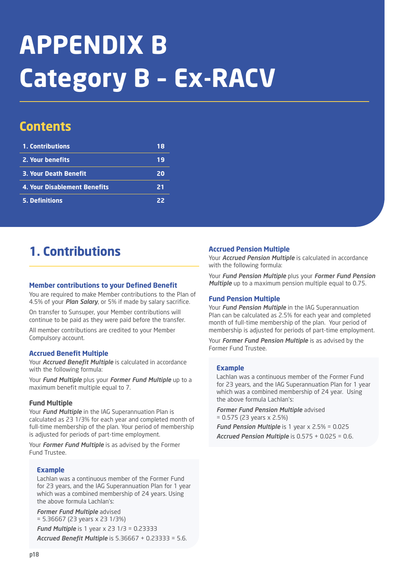# **APPENDIX B Category B – Ex-RACV**

# **Contents**

| 1. Contributions                    | 18 |
|-------------------------------------|----|
| 2. Your benefits                    | 19 |
| <b>3. Your Death Benefit</b>        | 20 |
| <b>4. Your Disablement Benefits</b> | 21 |
| <b>5. Definitions</b>               | 22 |

# **1. Contributions**

### **Member contributions to your Defined Benefit**

You are required to make Member contributions to the Plan of 4.5% of your *Plan Salary*, or 5% if made by salary sacrifice.

On transfer to Sunsuper, your Member contributions will continue to be paid as they were paid before the transfer.

All member contributions are credited to your Member Compulsory account.

# **Accrued Benefit Multiple**

Your *Accrued Benefit Multiple* is calculated in accordance with the following formula:

Your *Fund Multiple* plus your *Former Fund Multiple* up to a maximum benefit multiple equal to 7.

# **Fund Multiple**

Your *Fund Multiple* in the IAG Superannuation Plan is calculated as 23 1/3% for each year and completed month of full-time membership of the plan. Your period of membership is adjusted for periods of part-time employment.

Your *Former Fund Multiple* is as advised by the Former Fund Trustee.

# **Example**

Lachlan was a continuous member of the Former Fund for 23 years, and the IAG Superannuation Plan for 1 year which was a combined membership of 24 years. Using the above formula Lachlan's:

*Former Fund Multiple* advised = 5.36667 (23 years x 23 1/3%)

*Fund Multiple* is 1 year x 23 1/3 = 0.23333 *Accrued Benefit Multiple* is 5.36667 + 0.23333 = 5.6.

#### **Accrued Pension Multiple**

Your *Accrued Pension Multiple* is calculated in accordance with the following formula:

Your *Fund Pension Multiple* plus your *Former Fund Pension Multiple* up to a maximum pension multiple equal to 0.75.

#### **Fund Pension Multiple**

Your *Fund Pension Multiple* in the IAG Superannuation Plan can be calculated as 2.5% for each year and completed month of full-time membership of the plan. Your period of membership is adjusted for periods of part-time employment.

Your *Former Fund Pension Multiple* is as advised by the Former Fund Trustee.

#### **Example**

Lachlan was a continuous member of the Former Fund for 23 years, and the IAG Superannuation Plan for 1 year which was a combined membership of 24 year. Using the above formula Lachlan's:

*Former Fund Pension Multiple* advised = 0.575 (23 years x 2.5%)

*Fund Pension Multiple* is 1 year x 2.5% = 0.025 *Accrued Pension Multiple* is 0.575 + 0.025 = 0.6.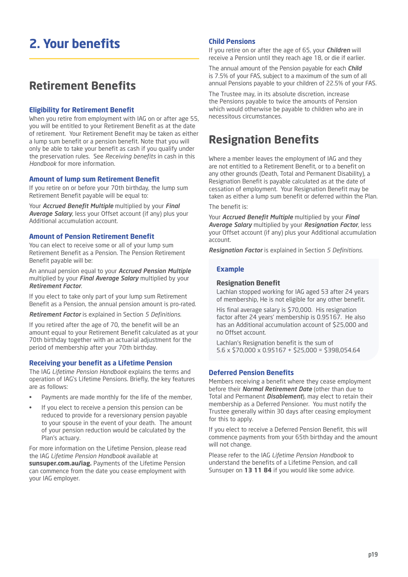# **2. Your benefits**

# **Retirement Benefits**

# **Eligibility for Retirement Benefit**

When you retire from employment with IAG on or after age 55, you will be entitled to your Retirement Benefit as at the date of retirement. Your Retirement Benefit may be taken as either a lump sum benefit or a pension benefit. Note that you will only be able to take your benefit as cash if you qualify under the preservation rules. See *Receiving benefits* in cash in this *Handbook* for more information.

#### **Amount of lump sum Retirement Benefit**

If you retire on or before your 70th birthday, the lump sum Retirement Benefit payable will be equal to:

Your *Accrued Benefit Multiple* multiplied by your *Final Average Salary*, less your Offset account (if any) plus your Additional accumulation account.

### **Amount of Pension Retirement Benefit**

You can elect to receive some or all of your lump sum Retirement Benefit as a Pension. The Pension Retirement Benefit payable will be:

An annual pension equal to your *Accrued Pension Multiple* multiplied by your *Final Average Salary* multiplied by your *Retirement Factor*.

If you elect to take only part of your lump sum Retirement Benefit as a Pension, the annual pension amount is pro-rated.

*Retirement Factor* is explained in Section *5 Definitions*.

If you retired after the age of 70, the benefit will be an amount equal to your Retirement Benefit calculated as at your 70th birthday together with an actuarial adjustment for the period of membership after your 70th birthday.

#### **Receiving your benefit as a Lifetime Pension**

The IAG *Lifetime Pension Handbook* explains the terms and operation of IAG's Lifetime Pensions. Briefly, the key features are as follows:

- Payments are made monthly for the life of the member,
- If you elect to receive a pension this pension can be reduced to provide for a reversionary pension payable to your spouse in the event of your death. The amount of your pension reduction would be calculated by the Plan's actuary.

For more information on the Lifetime Pension, please read the IAG *Lifetime Pension Handbook* available at **sunsuper.com.au/iag.** Payments of the Lifetime Pension can commence from the date you cease employment with your IAG employer.

#### **Child Pensions**

If you retire on or after the age of 65, your *Children* will receive a Pension until they reach age 18, or die if earlier.

The annual amount of the Pension payable for each *Child* is 7.5% of your FAS, subject to a maximum of the sum of all annual Pensions payable to your children of 22.5% of your FAS.

The Trustee may, in its absolute discretion, increase the Pensions payable to twice the amounts of Pension which would otherwise be payable to children who are in necessitous circumstances.

# **Resignation Benefits**

Where a member leaves the employment of IAG and they are not entitled to a Retirement Benefit, or to a benefit on any other grounds (Death, Total and Permanent Disability), a Resignation Benefit is payable calculated as at the date of cessation of employment. Your Resignation Benefit may be taken as either a lump sum benefit or deferred within the Plan.

# The benefit is:

Your *Accrued Benefit Multiple* multiplied by your *Final Average Salary* multiplied by your *Resignation Factor*, less your Offset account (if any) plus your Additional accumulation account.

*Resignation Factor* is explained in Section *5 Definitions*.

#### **Example**

## **Resignation Benefit**

Lachlan stopped working for IAG aged 53 after 24 years of membership, He is not eligible for any other benefit.

His final average salary is \$70,000. His resignation factor after 24 years' membership is 0.95167. He also has an Additional accumulation account of \$25,000 and no Offset account.

Lachlan's Resignation benefit is the sum of 5.6 x \$70,000 x 0.95167 + \$25,000 = \$398,054.64

### **Deferred Pension Benefits**

Members receiving a benefit where they cease employment before their *Normal Retirement Date* (other than due to Total and Permanent *Disablement*), may elect to retain their membership as a Deferred Pensioner. You must notify the Trustee generally within 30 days after ceasing employment for this to apply.

If you elect to receive a Deferred Pension Benefit, this will commence payments from your 65th birthday and the amount will not change.

Please refer to the IAG *Lifetime Pension Handbook* to understand the benefits of a Lifetime Pension, and call Sunsuper on **13 11 84** if you would like some advice.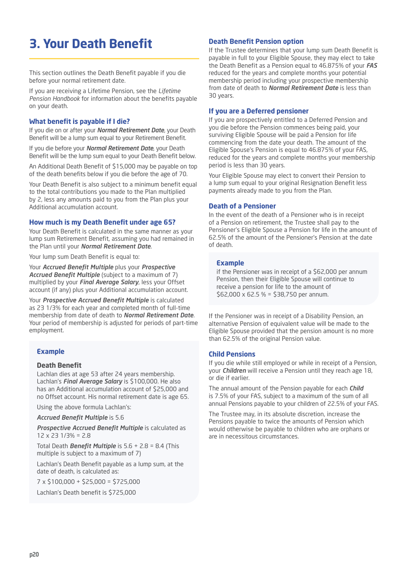# **3. Your Death Benefit**

This section outlines the Death Benefit payable if you die before your normal retirement date.

If you are receiving a Lifetime Pension, see the *Lifetime Pension Handbook* for information about the benefits payable on your death.

# **What benefit is payable if I die?**

If you die on or after your *Normal Retirement Date*, your Death Benefit will be a lump sum equal to your Retirement Benefit.

If you die before your *Normal Retirement Date*, your Death Benefit will be the lump sum equal to your Death Benefit below.

An Additional Death Benefit of \$15,000 may be payable on top of the death benefits below if you die before the age of 70.

Your Death Benefit is also subject to a minimum benefit equal to the total contributions you made to the Plan multiplied by 2, less any amounts paid to you from the Plan plus your Additional accumulation account.

# **How much is my Death Benefit under age 65?**

Your Death Benefit is calculated in the same manner as your lump sum Retirement Benefit, assuming you had remained in the Plan until your *Normal Retirement Date*.

Your lump sum Death Benefit is equal to:

Your *Accrued Benefit Multiple* plus your *Prospective Accrued Benefit Multiple* (subject to a maximum of 7) multiplied by your *Final Average Salary*, less your Offset account (if any) plus your Additional accumulation account.

Your *Prospective Accrued Benefit Multiple* is calculated as 23 1/3% for each year and completed month of full-time membership from date of death to *Normal Retirement Date*. Your period of membership is adjusted for periods of part-time employment.

# **Example**

# **Death Benefit**

Lachlan dies at age 53 after 24 years membership. Lachlan's *Final Average Salary* is \$100,000. He also has an Additional accumulation account of \$25,000 and no Offset account. His normal retirement date is age 65.

Using the above formula Lachlan's:

*Accrued Benefit Multiple* is 5.6

*Prospective Accrued Benefit Multiple* is calculated as 12 x 23 1/3% = 2.8

Total Death *Benefit Multiple* is 5.6 + 2.8 = 8.4 (This multiple is subject to a maximum of 7)

Lachlan's Death Benefit payable as a lump sum, at the date of death, is calculated as:

7 x \$100,000 + \$25,000 = \$725,000 Lachlan's Death benefit is \$725,000

# **Death Benefit Pension option**

If the Trustee determines that your lump sum Death Benefit is payable in full to your Eligible Spouse, they may elect to take the Death Benefit as a Pension equal to 46.875% of your *FAS*  reduced for the years and complete months your potential membership period including your prospective membership from date of death to *Normal Retirement Date* is less than 30 years.

# **If you are a Deferred pensioner**

If you are prospectively entitled to a Deferred Pension and you die before the Pension commences being paid, your surviving Eligible Spouse will be paid a Pension for life commencing from the date your death. The amount of the Eligible Spouse's Pension is equal to 46.875% of your FAS, reduced for the years and complete months your membership period is less than 30 years.

Your Eligible Spouse may elect to convert their Pension to a lump sum equal to your original Resignation Benefit less payments already made to you from the Plan.

# **Death of a Pensioner**

In the event of the death of a Pensioner who is in receipt of a Pension on retirement, the Trustee shall pay to the Pensioner's Eligible Spouse a Pension for life in the amount of 62.5% of the amount of the Pensioner's Pension at the date of death.

# **Example**

if the Pensioner was in receipt of a \$62,000 per annum Pension, then their Eligible Spouse will continue to receive a pension for life to the amount of  $$62,000 \times 62.5\% = $38,750$  per annum.

If the Pensioner was in receipt of a Disability Pension, an alternative Pension of equivalent value will be made to the Eligible Spouse provided that the pension amount is no more than 62.5% of the original Pension value.

# **Child Pensions**

If you die while still employed or while in receipt of a Pension, your *Children* will receive a Pension until they reach age 18, or die if earlier.

The annual amount of the Pension payable for each *Child* is 7.5% of your FAS, subject to a maximum of the sum of all annual Pensions payable to your children of 22.5% of your FAS.

The Trustee may, in its absolute discretion, increase the Pensions payable to twice the amounts of Pension which would otherwise be payable to children who are orphans or are in necessitous circumstances.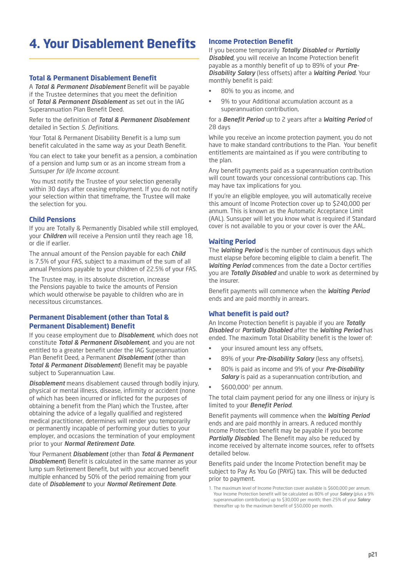# **4. Your Disablement Benefits**

## **Total & Permanent Disablement Benefit**

A *Total & Permanent Disablement* Benefit will be payable if the Trustee determines that you meet the definition of *Total & Permanent Disablement* as set out in the IAG Superannuation Plan Benefit Deed.

Refer to the definition of *Total & Permanent Disablement* detailed in Section *5. Definitions*.

Your Total & Permanent Disability Benefit is a lump sum benefit calculated in the same way as your Death Benefit.

You can elect to take your benefit as a pension, a combination of a pension and lump sum or as an income stream from a *Sunsuper for life Income account*.

 You must notify the Trustee of your selection generally within 30 days after ceasing employment. If you do not notify your selection within that timeframe, the Trustee will make the selection for you.

#### **Child Pensions**

If you are Totally & Permanently Disabled while still employed, your *Children* will receive a Pension until they reach age 18, or die if earlier.

The annual amount of the Pension payable for each *Child* is 7.5% of your FAS, subject to a maximum of the sum of all annual Pensions payable to your children of 22.5% of your FAS.

The Trustee may, in its absolute discretion, increase the Pensions payable to twice the amounts of Pension which would otherwise be payable to children who are in necessitous circumstances.

### **Permanent Disablement (other than Total & Permanent Disablement) Benefit**

If you cease employment due to *Disablement*, which does not constitute *Total & Permanent Disablement*, and you are not entitled to a greater benefit under the IAG Superannuation Plan Benefit Deed, a Permanent *Disablement* (other than *Total & Permanent Disablement*) Benefit may be payable subject to Superannuation Law.

*Disablement* means disablement caused through bodily injury, physical or mental illness, disease, infirmity or accident (none of which has been incurred or inflicted for the purposes of obtaining a benefit from the Plan) which the Trustee, after obtaining the advice of a legally qualified and registered medical practitioner, determines will render you temporarily or permanently incapable of performing your duties to your employer, and occasions the termination of your employment prior to your *Normal Retirement Date*.

Your Permanent *Disablement* (other than *Total & Permanent Disablement*) Benefit is calculated in the same manner as your lump sum Retirement Benefit, but with your accrued benefit multiple enhanced by 50% of the period remaining from your date of *Disablement* to your *Normal Retirement Date*.

# **Income Protection Benefit**

If you become temporarily *Totally Disabled* or *Partially Disabled*, you will receive an Income Protection benefit payable as a monthly benefit of up to 89% of your *Pre-Disability Salary* (less offsets) after a *Waiting Period*. Your monthly benefit is paid:

- 80% to you as income, and
- 9% to your Additional accumulation account as a superannuation contribution,

#### for a *Benefit Period* up to 2 years after a *Waiting Period* of 28 days

While you receive an income protection payment, you do not have to make standard contributions to the Plan. Your benefit entitlements are maintained as if you were contributing to the plan.

Any benefit payments paid as a superannuation contribution will count towards your concessional contributions cap. This may have tax implications for you.

If you're an eligible employee, you will automatically receive this amount of Income Protection cover up to \$240,000 per annum. This is known as the Automatic Acceptance Limit (AAL). Sunsuper will let you know what is required if Standard cover is not available to you or your cover is over the AAL.

# **Waiting Period**

The *Waiting Period* is the number of continuous days which must elapse before becoming eligible to claim a benefit. The *Waiting Period* commences from the date a Doctor certifies you are *Totally Disabled* and unable to work as determined by the insurer.

Benefit payments will commence when the *Waiting Period* ends and are paid monthly in arrears.

# **What benefit is paid out?**

An Income Protection benefit is payable if you are *Totally Disabled* or *Partially Disabled* after the *Waiting Period* has ended. The maximum Total Disability benefit is the lower of:

- your insured amount less any offsets,
- 89% of your *Pre-Disability Salary* (less any offsets),
- 80% is paid as income and 9% of your *Pre-Disability Salary* is paid as a superannuation contribution, and
- \$600,0001 per annum.

The total claim payment period for any one illness or injury is limited to your *Benefit Period*.

Benefit payments will commence when the *Waiting Period* ends and are paid monthly in arrears. A reduced monthly Income Protection benefit may be payable if you become *Partially Disabled*. The Benefit may also be reduced by income received by alternate income sources, refer to offsets detailed below.

Benefits paid under the Income Protection benefit may be subject to Pay As You Go (PAYG) tax. This will be deducted prior to payment.

<sup>1.</sup> The maximum level of Income Protection cover available is \$600,000 per annum. Your Income Protection benefit will be calculated as 80% of your *Salary* (plus a 9% superannuation contribution) up to \$30,000 per month; then 25% of your *Salary* thereafter up to the maximum benefit of \$50,000 per month.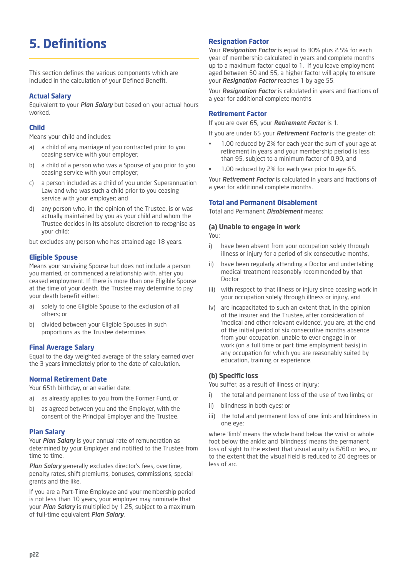# **5. Definitions**

This section defines the various components which are included in the calculation of your Defined Benefit.

### **Actual Salary**

Equivalent to your *Plan Salary* but based on your actual hours worked.

## **Child**

Means your child and includes:

- a) a child of any marriage of you contracted prior to you ceasing service with your employer;
- b) a child of a person who was a Spouse of you prior to you ceasing service with your employer;
- c) a person included as a child of you under Superannuation Law and who was such a child prior to you ceasing service with your employer; and
- d) any person who, in the opinion of the Trustee, is or was actually maintained by you as your child and whom the Trustee decides in its absolute discretion to recognise as your child;

but excludes any person who has attained age 18 years.

# **Eligible Spouse**

Means your surviving Spouse but does not include a person you married, or commenced a relationship with, after you ceased employment. If there is more than one Eligible Spouse at the time of your death, the Trustee may determine to pay your death benefit either:

- a) solely to one Eligible Spouse to the exclusion of all others; or
- b) divided between your Eligible Spouses in such proportions as the Trustee determines

# **Final Average Salary**

Equal to the day weighted average of the salary earned over the 3 years immediately prior to the date of calculation.

# **Normal Retirement Date**

Your 65th birthday, or an earlier date:

- a) as already applies to you from the Former Fund, or
- b) as agreed between you and the Employer, with the consent of the Principal Employer and the Trustee.

#### **Plan Salary**

Your *Plan Salary* is your annual rate of remuneration as determined by your Employer and notified to the Trustee from time to time.

*Plan Salary* generally excludes director's fees, overtime, penalty rates, shift premiums, bonuses, commissions, special grants and the like.

If you are a Part-Time Employee and your membership period is not less than 10 years, your employer may nominate that your *Plan Salary* is multiplied by 1.25, subject to a maximum of full-time equivalent *Plan Salary*.

# **Resignation Factor**

Your *Resignation Factor* is equal to 30% plus 2.5% for each year of membership calculated in years and complete months up to a maximum factor equal to 1. If you leave employment aged between 50 and 55, a higher factor will apply to ensure your *Resignation Factor* reaches 1 by age 55.

Your *Resignation Factor* is calculated in years and fractions of a year for additional complete months

### **Retirement Factor**

If you are over 65, your *Retirement Factor* is 1.

If you are under 65 your *Retirement Factor* is the greater of:

- 1.00 reduced by 2% for each year the sum of your age at retirement in years and your membership period is less than 95, subject to a minimum factor of 0.90, and
- 1.00 reduced by 2% for each year prior to age 65.

Your *Retirement Factor* is calculated in years and fractions of a year for additional complete months.

### **Total and Permanent Disablement**

Total and Permanent *Disablement* means:

### **(a) Unable to engage in work**

You:

- i) have been absent from your occupation solely through illness or injury for a period of six consecutive months,
- ii) have been regularly attending a Doctor and undertaking medical treatment reasonably recommended by that Doctor
- iii) with respect to that illness or injury since ceasing work in your occupation solely through illness or injury, and
- iv) are incapacitated to such an extent that, in the opinion of the insurer and the Trustee, after consideration of 'medical and other relevant evidence', you are, at the end of the initial period of six consecutive months absence from your occupation, unable to ever engage in or work (on a full time or part time employment basis) in any occupation for which you are reasonably suited by education, training or experience.

#### **(b) Specific loss**

You suffer, as a result of illness or injury:

- i) the total and permanent loss of the use of two limbs; or
- ii) blindness in both eyes; or
- iii) the total and permanent loss of one limb and blindness in one eye;

where 'limb' means the whole hand below the wrist or whole foot below the ankle; and 'blindness' means the permanent loss of sight to the extent that visual acuity is 6/60 or less, or to the extent that the visual field is reduced to 20 degrees or less of arc.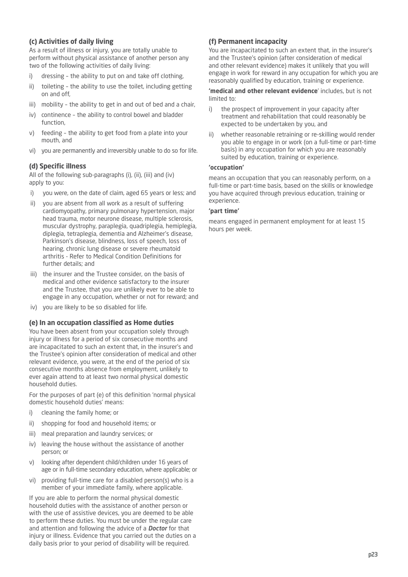# **(c) Activities of daily living**

As a result of illness or injury, you are totally unable to perform without physical assistance of another person any two of the following activities of daily living:

- i) dressing the ability to put on and take off clothing,
- ii) toileting the ability to use the toilet, including getting on and off,
- iii) mobility the ability to get in and out of bed and a chair,
- iv) continence the ability to control bowel and bladder function,
- v) feeding the ability to get food from a plate into your mouth, and
- vi) you are permanently and irreversibly unable to do so for life.

### **(d) Specific illness**

All of the following sub-paragraphs (i), (ii), (iii) and (iv) apply to you:

- i) you were, on the date of claim, aged 65 years or less; and
- ii) you are absent from all work as a result of suffering cardiomyopathy, primary pulmonary hypertension, major head trauma, motor neurone disease, multiple sclerosis, muscular dystrophy, paraplegia, quadriplegia, hemiplegia, diplegia, tetraplegia, dementia and Alzheimer's disease, Parkinson's disease, blindness, loss of speech, loss of hearing, chronic lung disease or severe rheumatoid arthritis - Refer to Medical Condition Definitions for further details; and
- iii) the insurer and the Trustee consider, on the basis of medical and other evidence satisfactory to the insurer and the Trustee, that you are unlikely ever to be able to engage in any occupation, whether or not for reward; and
- iv) you are likely to be so disabled for life.

#### **(e) In an occupation classified as Home duties**

You have been absent from your occupation solely through injury or illness for a period of six consecutive months and are incapacitated to such an extent that, in the insurer's and the Trustee's opinion after consideration of medical and other relevant evidence, you were, at the end of the period of six consecutive months absence from employment, unlikely to ever again attend to at least two normal physical domestic household duties.

For the purposes of part (e) of this definition 'normal physical domestic household duties' means:

- i) cleaning the family home; or
- ii) shopping for food and household items; or
- iii) meal preparation and laundry services; or
- iv) leaving the house without the assistance of another person; or
- v) looking after dependent child/children under 16 years of age or in full-time secondary education, where applicable; or
- vi) providing full-time care for a disabled person(s) who is a member of your immediate family, where applicable.

If you are able to perform the normal physical domestic household duties with the assistance of another person or with the use of assistive devices, you are deemed to be able to perform these duties. You must be under the regular care and attention and following the advice of a *Doctor* for that injury or illness. Evidence that you carried out the duties on a daily basis prior to your period of disability will be required.

## **(f) Permanent incapacity**

You are incapacitated to such an extent that, in the insurer's and the Trustee's opinion (after consideration of medical and other relevant evidence) makes it unlikely that you will engage in work for reward in any occupation for which you are reasonably qualified by education, training or experience.

**'medical and other relevant evidence**' includes, but is not limited to:

- i) the prospect of improvement in your capacity after treatment and rehabilitation that could reasonably be expected to be undertaken by you, and
- ii) whether reasonable retraining or re-skilling would render you able to engage in or work (on a full-time or part-time basis) in any occupation for which you are reasonably suited by education, training or experience.

#### **'occupation'**

means an occupation that you can reasonably perform, on a full-time or part-time basis, based on the skills or knowledge you have acquired through previous education, training or experience.

#### **'part time'**

means engaged in permanent employment for at least 15 hours per week.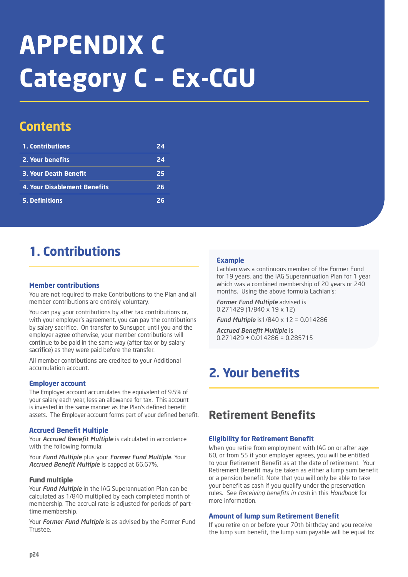# **APPENDIX C Category C – Ex-CGU**

# **Contents**

| 1. Contributions                    | 24 |
|-------------------------------------|----|
| 2. Your benefits                    | 24 |
| <b>3. Your Death Benefit</b>        | 25 |
| <b>4. Your Disablement Benefits</b> | 26 |
| 5. Definitions                      | フト |

# **1. Contributions**

# **Member contributions**

You are not required to make Contributions to the Plan and all member contributions are entirely voluntary.

You can pay your contributions by after tax contributions or, with your employer's agreement, you can pay the contributions by salary sacrifice. On transfer to Sunsuper, until you and the employer agree otherwise, your member contributions will continue to be paid in the same way (after tax or by salary sacrifice) as they were paid before the transfer.

All member contributions are credited to your Additional accumulation account.

# **Employer account**

The Employer account accumulates the equivalent of 9.5% of your salary each year, less an allowance for tax. This account is invested in the same manner as the Plan's defined benefit assets. The Employer account forms part of your defined benefit.

# **Accrued Benefit Multiple**

Your *Accrued Benefit Multiple* is calculated in accordance with the following formula:

Your *Fund Multiple* plus your *Former Fund Multiple*. Your *Accrued Benefit Multiple* is capped at 66.67%.

#### **Fund multiple**

Your *Fund Multiple* in the IAG Superannuation Plan can be calculated as 1/840 multiplied by each completed month of membership. The accrual rate is adjusted for periods of parttime membership.

Your *Former Fund Multiple* is as advised by the Former Fund Trustee.

# **Example**

Lachlan was a continuous member of the Former Fund for 19 years, and the IAG Superannuation Plan for 1 year which was a combined membership of 20 years or 240 months. Using the above formula Lachlan's:

*Former Fund Multiple* advised is 0.271429 (1/840 x 19 x 12)

*Fund Multiple* is1/840 x 12 = 0.014286

*Accrued Benefit Multiple* is 0.271429 + 0.014286 = 0.285715

# **2. Your benefits**

# **Retirement Benefits**

# **Eligibility for Retirement Benefit**

When you retire from employment with IAG on or after age 60, or from 55 if your employer agrees, you will be entitled to your Retirement Benefit as at the date of retirement. Your Retirement Benefit may be taken as either a lump sum benefit or a pension benefit. Note that you will only be able to take your benefit as cash if you qualify under the preservation rules. See *Receiving benefits in cash* in this *Handbook* for more information.

# **Amount of lump sum Retirement Benefit**

If you retire on or before your 70th birthday and you receive the lump sum benefit, the lump sum payable will be equal to: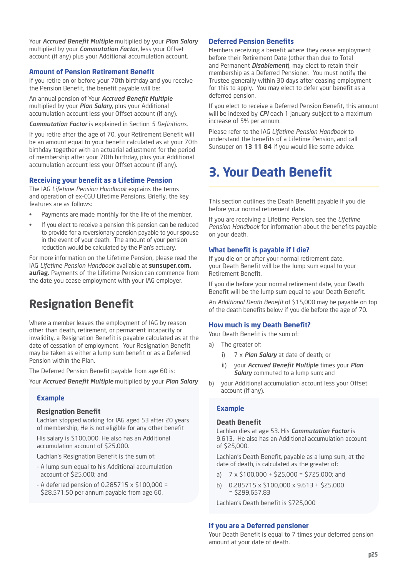Your *Accrued Benefit Multiple* multiplied by your *Plan Salary* multiplied by your *Commutation Factor*, less your Offset account (if any) plus your Additional accumulation account.

### **Amount of Pension Retirement Benefit**

If you retire on or before your 70th birthday and you receive the Pension Benefit, the benefit payable will be:

An annual pension of Your *Accrued Benefit Multiple* multiplied by your *Plan Salary*, plus your Additional accumulation account less your Offset account (if any).

*Commutation Factor* is explained in Section *5 Definitions*.

If you retire after the age of 70, your Retirement Benefit will be an amount equal to your benefit calculated as at your 70th birthday together with an actuarial adjustment for the period of membership after your 70th birthday, plus your Additional accumulation account less your Offset account (if any).

#### **Receiving your benefit as a Lifetime Pension**

The IAG *Lifetime Pension Handbook* explains the terms and operation of ex-CGU Lifetime Pensions. Briefly, the key features are as follows:

- Payments are made monthly for the life of the member,
- If you elect to receive a pension this pension can be reduced to provide for a reversionary pension payable to your spouse in the event of your death. The amount of your pension reduction would be calculated by the Plan's actuary.

For more information on the Lifetime Pension, please read the IAG *Lifetime Pension Handbook* available at **sunsuper.com. au/iag.** Payments of the Lifetime Pension can commence from the date you cease employment with your IAG employer.

# **Resignation Benefit**

Where a member leaves the employment of IAG by reason other than death, retirement, or permanent incapacity or invalidity, a Resignation Benefit is payable calculated as at the date of cessation of employment. Your Resignation Benefit may be taken as either a lump sum benefit or as a Deferred Pension within the Plan.

The Deferred Pension Benefit payable from age 60 is:

Your *Accrued Benefit Multiple* multiplied by your *Plan Salary*

#### **Example**

#### **Resignation Benefit**

Lachlan stopped working for IAG aged 53 after 20 years of membership, He is not eligible for any other benefit

His salary is \$100,000. He also has an Additional accumulation account of \$25,000.

Lachlan's Resignation Benefit is the sum of:

- A lump sum equal to his Additional accumulation account of \$25,000; and
- A deferred pension of 0.285715 x \$100,000 = \$28,571.50 per annum payable from age 60.

#### **Deferred Pension Benefits**

Members receiving a benefit where they cease employment before their Retirement Date (other than due to Total and Permanent *Disablement*), may elect to retain their membership as a Deferred Pensioner. You must notify the Trustee generally within 30 days after ceasing employment for this to apply. You may elect to defer your benefit as a deferred pension.

If you elect to receive a Deferred Pension Benefit, this amount will be indexed by *CPI* each 1 January subject to a maximum increase of 5% per annum.

Please refer to the IAG *Lifetime Pension Handbook* to understand the benefits of a Lifetime Pension, and call Sunsuper on **13 11 84** if you would like some advice.

# **3. Your Death Benefit**

This section outlines the Death Benefit payable if you die before your normal retirement date.

If you are receiving a Lifetime Pension, see the *Lifetime Pension Handbook* for information about the benefits payable on your death.

#### **What benefit is payable if I die?**

If you die on or after your normal retirement date, your Death Benefit will be the lump sum equal to your Retirement Benefit.

If you die before your normal retirement date, your Death Benefit will be the lump sum equal to your Death Benefit.

An *Additional Death Benefit* of \$15,000 may be payable on top of the death benefits below if you die before the age of 70.

#### **How much is my Death Benefit?**

Your Death Benefit is the sum of:

- a) The greater of:
	- i) 7 x *Plan Salary* at date of death; or
	- ii) your *Accrued Benefit Multiple* times your *Plan Salary* commuted to a lump sum; and
- b) your Additional accumulation account less your Offset account (if any).

# **Example**

### **Death Benefit**

Lachlan dies at age 53. His *Commutation Factor* is 9.613. He also has an Additional accumulation account of \$25,000.

Lachlan's Death Benefit, payable as a lump sum, at the date of death, is calculated as the greater of:

- a)  $7 \times 5100,000 + 525,000 = 5725,000$ ; and
- b) 0.285715 x \$100,000 x 9.613 + \$25,000 = \$299,657.83

Lachlan's Death benefit is \$725,000

#### **If you are a Deferred pensioner**

Your Death Benefit is equal to 7 times your deferred pension amount at your date of death.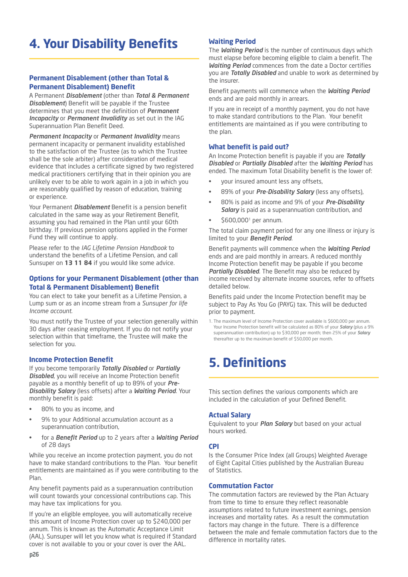# **4. Your Disability Benefits**

# **Permanent Disablement (other than Total & Permanent Disablement) Benefit**

A Permanent *Disablement* (other than *Total & Permanent Disablement*) Benefit will be payable if the Trustee determines that you meet the definition of *Permanent Incapacity* or *Permanent Invalidity* as set out in the IAG Superannuation Plan Benefit Deed.

*Permanent Incapacity* or *Permanent Invalidity* means permanent incapacity or permanent invalidity established to the satisfaction of the Trustee (as to which the Trustee shall be the sole arbiter) after consideration of medical evidence that includes a certificate signed by two registered medical practitioners certifying that in their opinion you are unlikely ever to be able to work again in a job in which you are reasonably qualified by reason of education, training or experience.

Your Permanent *Disablement* Benefit is a pension benefit calculated in the same way as your Retirement Benefit, assuming you had remained in the Plan until your 60th birthday. If previous pension options applied in the Former Fund they will continue to apply.

Please refer to the *IAG Lifetime Pension Handbook* to understand the benefits of a Lifetime Pension, and call Sunsuper on **13 11 84** if you would like some advice.

## **Options for your Permanent Disablement (other than Total & Permanent Disablement) Benefit**

You can elect to take your benefit as a Lifetime Pension, a Lump sum or as an income stream from a *Sunsuper for life Income account*.

You must notify the Trustee of your selection generally within 30 days after ceasing employment. If you do not notify your selection within that timeframe, the Trustee will make the selection for you.

# **Income Protection Benefit**

If you become temporarily *Totally Disabled* or *Partially Disabled*, you will receive an Income Protection benefit payable as a monthly benefit of up to 89% of your *Pre-Disability Salary* (less offsets) after a *Waiting Period*. Your monthly benefit is paid:

- 80% to you as income, and
- 9% to your Additional accumulation account as a superannuation contribution,
- for a *Benefit Period* up to 2 years after a *Waiting Period* of 28 days

While you receive an income protection payment, you do not have to make standard contributions to the Plan. Your benefit entitlements are maintained as if you were contributing to the Plan.

Any benefit payments paid as a superannuation contribution will count towards your concessional contributions cap. This may have tax implications for you.

If you're an eligible employee, you will automatically receive this amount of Income Protection cover up to \$240,000 per annum. This is known as the Automatic Acceptance Limit (AAL). Sunsuper will let you know what is required if Standard cover is not available to you or your cover is over the AAL.

### **Waiting Period**

The *Waiting Period* is the number of continuous days which must elapse before becoming eligible to claim a benefit. The *Waiting Period* commences from the date a Doctor certifies you are *Totally Disabled* and unable to work as determined by the insurer.

Benefit payments will commence when the *Waiting Period* ends and are paid monthly in arrears.

If you are in receipt of a monthly payment, you do not have to make standard contributions to the Plan. Your benefit entitlements are maintained as if you were contributing to the plan.

#### **What benefit is paid out?**

An Income Protection benefit is payable if you are *Totally Disabled* or *Partially Disabled* after the *Waiting Period* has ended. The maximum Total Disability benefit is the lower of:

- your insured amount less any offsets,
- 89% of your *Pre-Disability Salary* (less any offsets),
- 80% is paid as income and 9% of your *Pre-Disability Salary* is paid as a superannuation contribution, and
- \$600,0001 per annum.

The total claim payment period for any one illness or injury is limited to your *Benefit Period*.

Benefit payments will commence when the *Waiting Period* ends and are paid monthly in arrears. A reduced monthly Income Protection benefit may be payable if you become *Partially Disabled*. The Benefit may also be reduced by income received by alternate income sources, refer to offsets detailed below.

Benefits paid under the Income Protection benefit may be subject to Pay As You Go (PAYG) tax. This will be deducted prior to payment.

1. The maximum level of Income Protection cover available is \$600,000 per annum. Your Income Protection benefit will be calculated as 80% of your *Salary* (plus a 9% superannuation contribution) up to \$30,000 per month; then 25% of your *Salary* thereafter up to the maximum benefit of \$50,000 per month.

# **5. Definitions**

This section defines the various components which are included in the calculation of your Defined Benefit.

#### **Actual Salary**

Equivalent to your *Plan Salary* but based on your actual hours worked.

#### **CPI**

Is the Consumer Price Index (all Groups) Weighted Average of Eight Capital Cities published by the Australian Bureau of Statistics.

#### **Commutation Factor**

The commutation factors are reviewed by the Plan Actuary from time to time to ensure they reflect reasonable assumptions related to future investment earnings, pension increases and mortality rates. As a result the commutation factors may change in the future. There is a difference between the male and female commutation factors due to the difference in mortality rates.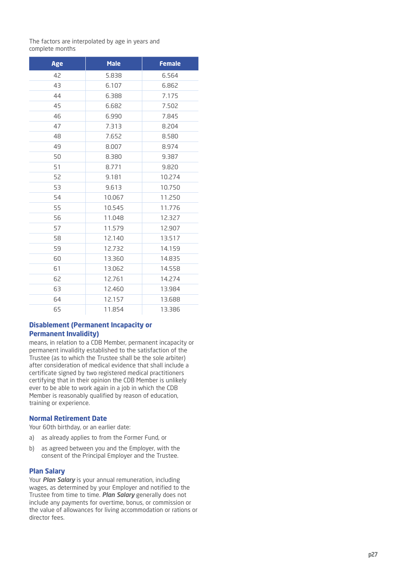The factors are interpolated by age in years and complete months

| Age | <b>Male</b> | <b>Female</b> |
|-----|-------------|---------------|
| 42  | 5.838       | 6.564         |
| 43  | 6.107       | 6.862         |
| 44  | 6.388       | 7.175         |
| 45  | 6.682       | 7.502         |
| 46  | 6.990       | 7.845         |
| 47  | 7.313       | 8.204         |
| 48  | 7.652       | 8.580         |
| 49  | 8.007       | 8.974         |
| 50  | 8.380       | 9.387         |
| 51  | 8.771       | 9.820         |
| 52  | 9.181       | 10.274        |
| 53  | 9.613       | 10.750        |
| 54  | 10.067      | 11.250        |
| 55  | 10.545      | 11.776        |
| 56  | 11.048      | 12.327        |
| 57  | 11.579      | 12.907        |
| 58  | 12.140      | 13.517        |
| 59  | 12.732      | 14.159        |
| 60  | 13.360      | 14.835        |
| 61  | 13.062      | 14.558        |
| 62  | 12.761      | 14.274        |
| 63  | 12.460      | 13.984        |
| 64  | 12.157      | 13.688        |
| 65  | 11.854      | 13.386        |

# **Disablement (Permanent Incapacity or Permanent Invalidity)**

means, in relation to a CDB Member, permanent incapacity or permanent invalidity established to the satisfaction of the Trustee (as to which the Trustee shall be the sole arbiter) after consideration of medical evidence that shall include a certificate signed by two registered medical practitioners certifying that in their opinion the CDB Member is unlikely ever to be able to work again in a job in which the CDB Member is reasonably qualified by reason of education, training or experience.

# **Normal Retirement Date**

Your 60th birthday, or an earlier date:

- a) as already applies to from the Former Fund, or
- b) as agreed between you and the Employer, with the consent of the Principal Employer and the Trustee.

# **Plan Salary**

Your *Plan Salary* is your annual remuneration, including wages, as determined by your Employer and notified to the Trustee from time to time. *Plan Salary* generally does not include any payments for overtime, bonus, or commission or the value of allowances for living accommodation or rations or director fees.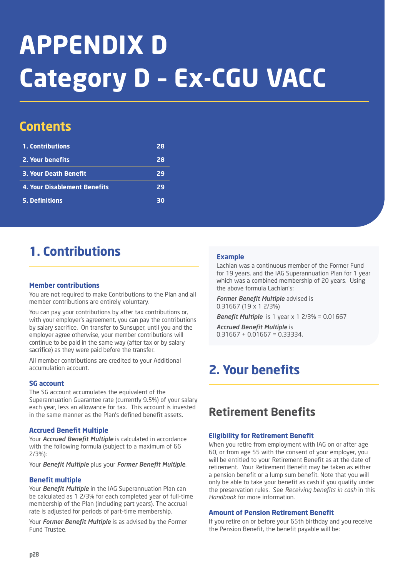# **APPENDIX D Category D – Ex-CGU VACC**

# **Contents**

| 1. Contributions                    | 28 |
|-------------------------------------|----|
| 2. Your benefits                    | 28 |
| <b>3. Your Death Benefit</b>        | 29 |
| <b>4. Your Disablement Benefits</b> | 29 |
| <b>5. Definitions</b>               | 30 |

# **1. Contributions**

# **Member contributions**

You are not required to make Contributions to the Plan and all member contributions are entirely voluntary.

You can pay your contributions by after tax contributions or, with your employer's agreement, you can pay the contributions by salary sacrifice. On transfer to Sunsuper, until you and the employer agree otherwise, your member contributions will continue to be paid in the same way (after tax or by salary sacrifice) as they were paid before the transfer.

All member contributions are credited to your Additional accumulation account.

# **SG account**

The SG account accumulates the equivalent of the Superannuation Guarantee rate (currently 9.5%) of your salary each year, less an allowance for tax. This account is invested in the same manner as the Plan's defined benefit assets.

# **Accrued Benefit Multiple**

Your *Accrued Benefit Multiple* is calculated in accordance with the following formula (subject to a maximum of 66 2/3%):

Your *Benefit Multiple* plus your *Former Benefit Multiple*.

# **Benefit multiple**

Your *Benefit Multiple* in the IAG Superannuation Plan can be calculated as 1 2/3% for each completed year of full-time membership of the Plan (including part years). The accrual rate is adjusted for periods of part-time membership.

Your *Former Benefit Multiple* is as advised by the Former Fund Trustee.

# **Example**

Lachlan was a continuous member of the Former Fund for 19 years, and the IAG Superannuation Plan for 1 year which was a combined membership of 20 years. Using the above formula Lachlan's:

*Former Benefit Multiple* advised is 0.31667 (19 x 1 2/3%)

*Benefit Multiple* is 1 year x 1 2/3% = 0.01667

*Accrued Benefit Multiple* is  $0.31667 + 0.01667 = 0.33334$ .

# **2. Your benefits**

# **Retirement Benefits**

# **Eligibility for Retirement Benefit**

When you retire from employment with IAG on or after age 60, or from age 55 with the consent of your employer, you will be entitled to your Retirement Benefit as at the date of retirement. Your Retirement Benefit may be taken as either a pension benefit or a lump sum benefit. Note that you will only be able to take your benefit as cash if you qualify under the preservation rules. See *Receiving benefits in cash* in this *Handbook* for more information.

# **Amount of Pension Retirement Benefit**

If you retire on or before your 65th birthday and you receive the Pension Benefit, the benefit payable will be: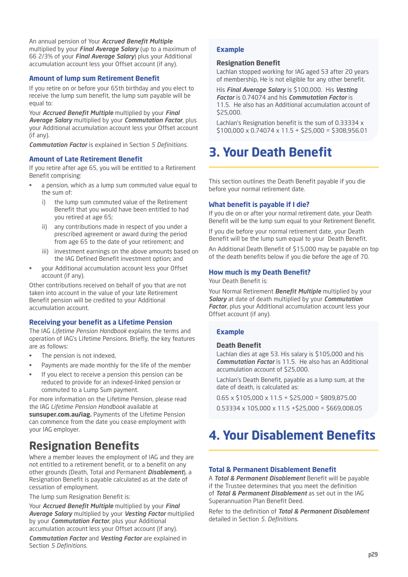An annual pension of Your *Accrued Benefit Multiple* multiplied by your *Final Average Salary* (up to a maximum of 66 2/3% of your *Final Average Salary*) plus your Additional accumulation account less your Offset account (if any).

# **Amount of lump sum Retirement Benefit**

If you retire on or before your 65th birthday and you elect to receive the lump sum benefit, the lump sum payable will be equal to:

Your *Accrued Benefit Multiple* multiplied by your *Final Average Salary* multiplied by your *Commutation Factor*, plus your Additional accumulation account less your Offset account (if any).

*Commutation Factor* is explained in Section *5 Definitions*.

### **Amount of Late Retirement Benefit**

If you retire after age 65, you will be entitled to a Retirement Benefit comprising:

- a pension, which as a lump sum commuted value equal to the sum of:
	- i) the lump sum commuted value of the Retirement Benefit that you would have been entitled to had you retired at age 65;
	- any contributions made in respect of you under a prescribed agreement or award during the period from age 65 to the date of your retirement; and
	- iii) investment earnings on the above amounts based on the IAG Defined Benefit investment option; and
- your Additional accumulation account less your Offset account (if any).

Other contributions received on behalf of you that are not taken into account in the value of your late Retirement Benefit pension will be credited to your Additional accumulation account.

# **Receiving your benefit as a Lifetime Pension**

The IAG *Lifetime Pension Handbook* explains the terms and operation of IAG's Lifetime Pensions. Briefly, the key features are as follows:

- The pension is not indexed,
- Payments are made monthly for the life of the member
- If you elect to receive a pension this pension can be reduced to provide for an indexed-linked pension or commuted to a Lump Sum payment.

For more information on the Lifetime Pension, please read the IAG *Lifetime Pension Handbook* available at **sunsuper.com.au/iag.** Payments of the Lifetime Pension can commence from the date you cease employment with your IAG employer.

# **Resignation Benefits**

Where a member leaves the employment of IAG and they are not entitled to a retirement benefit, or to a benefit on any other grounds (Death, Total and Permanent *Disablement*), a Resignation Benefit is payable calculated as at the date of cessation of employment.

The lump sum Resignation Benefit is:

Your *Accrued Benefit Multiple* multiplied by your *Final Average Salary* multiplied by your *Vesting Factor* multiplied by your *Commutation Factor*, plus your Additional accumulation account less your Offset account (if any).

*Commutation Factor* and *Vesting Factor* are explained in Section *5 Definitions*.

# **Example**

### **Resignation Benefit**

Lachlan stopped working for IAG aged 53 after 20 years of membership, He is not eligible for any other benefit.

His *Final Average Salary* is \$100,000. His *Vesting Factor* is 0.74074 and his *Commutation Factor* is 11.5. He also has an Additional accumulation account of \$25,000.

Lachlan's Resignation benefit is the sum of 0.33334 x \$100,000 x 0.74074 x 11.5 + \$25,000 = \$308,956.01

# **3. Your Death Benefit**

This section outlines the Death Benefit payable if you die before your normal retirement date.

# **What benefit is payable if I die?**

If you die on or after your normal retirement date, your Death Benefit will be the lump sum equal to your Retirement Benefit.

If you die before your normal retirement date, your Death Benefit will be the lump sum equal to your Death Benefit.

An Additional Death Benefit of \$15,000 may be payable on top of the death benefits below if you die before the age of 70.

# **How much is my Death Benefit?**

Your Death Benefit is:

Your Normal Retirement *Benefit Multiple* multiplied by your *Salary* at date of death multiplied by your *Commutation Factor*, plus your Additional accumulation account less your Offset account (if any).

# **Example**

#### **Death Benefit**

Lachlan dies at age 53. His salary is \$105,000 and his *Commutation Factor* is 11.5. He also has an Additional accumulation account of \$25,000.

Lachlan's Death Benefit, payable as a lump sum, at the date of death, is calculated as:

0.65 x \$105,000 x 11.5 + \$25,000 = \$809,875.00

 $0.53334 \times 105,000 \times 11.5 + $25,000 = $669,008.05$ 

# **4. Your Disablement Benefits**

#### **Total & Permanent Disablement Benefit**

A *Total & Permanent Disablement* Benefit will be payable if the Trustee determines that you meet the definition of *Total & Permanent Disablement* as set out in the IAG Superannuation Plan Benefit Deed.

Refer to the definition of *Total & Permanent Disablement* detailed in Section *5. Definitions*.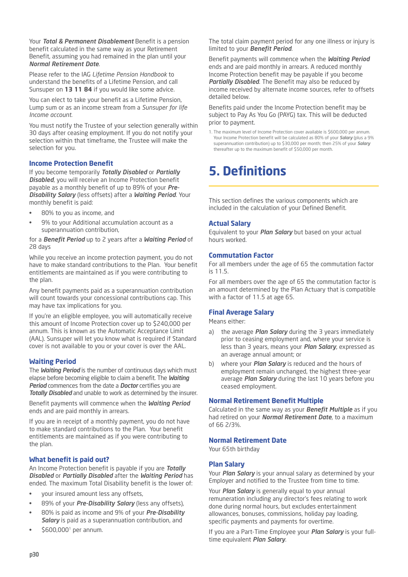Your *Total & Permanent Disablement* Benefit is a pension benefit calculated in the same way as your Retirement Benefit, assuming you had remained in the plan until your *Normal Retirement Date*.

Please refer to the IAG *Lifetime Pension Handbook* to understand the benefits of a Lifetime Pension, and call Sunsuper on **13 11 84** if you would like some advice.

You can elect to take your benefit as a Lifetime Pension, Lump sum or as an income stream from a *Sunsuper for life Income account*.

You must notify the Trustee of your selection generally within 30 days after ceasing employment. If you do not notify your selection within that timeframe, the Trustee will make the selection for you.

# **Income Protection Benefit**

If you become temporarily *Totally Disabled* or *Partially Disabled*, you will receive an Income Protection benefit payable as a monthly benefit of up to 89% of your *Pre-Disability Salary* (less offsets) after a *Waiting Period*. Your monthly benefit is paid:

- 80% to you as income, and
- 9% to your Additional accumulation account as a superannuation contribution,

for a *Benefit Period* up to 2 years after a *Waiting Period* of 28 days

While you receive an income protection payment, you do not have to make standard contributions to the Plan. Your benefit entitlements are maintained as if you were contributing to the plan.

Any benefit payments paid as a superannuation contribution will count towards your concessional contributions cap. This may have tax implications for you.

If you're an eligible employee, you will automatically receive this amount of Income Protection cover up to \$240,000 per annum. This is known as the Automatic Acceptance Limit (AAL). Sunsuper will let you know what is required if Standard cover is not available to you or your cover is over the AAL.

# **Waiting Period**

The *Waiting Period* is the number of continuous days which must elapse before becoming eligible to claim a benefit. The *Waiting Period* commences from the date a *Doctor* certifies you are *Totally Disabled* and unable to work as determined by the insurer.

Benefit payments will commence when the *Waiting Period* ends and are paid monthly in arrears.

If you are in receipt of a monthly payment, you do not have to make standard contributions to the Plan. Your benefit entitlements are maintained as if you were contributing to the plan.

# **What benefit is paid out?**

An Income Protection benefit is payable if you are *Totally Disabled* or *Partially Disabled* after the *Waiting Period* has ended. The maximum Total Disability benefit is the lower of:

- your insured amount less any offsets,
- 89% of your *Pre-Disability Salary* (less any offsets),
- 80% is paid as income and 9% of your *Pre-Disability Salary* is paid as a superannuation contribution, and
- \$600,0001 per annum.

The total claim payment period for any one illness or injury is limited to your *Benefit Period*.

Benefit payments will commence when the *Waiting Period* ends and are paid monthly in arrears. A reduced monthly Income Protection benefit may be payable if you become *Partially Disabled*. The Benefit may also be reduced by income received by alternate income sources, refer to offsets detailed below.

Benefits paid under the Income Protection benefit may be subject to Pay As You Go (PAYG) tax. This will be deducted prior to payment.

1. The maximum level of Income Protection cover available is \$600,000 per annum. Your Income Protection benefit will be calculated as 80% of your *Salary* (plus a 9% superannuation contribution) up to \$30,000 per month; then 25% of your *Salary* thereafter up to the maximum benefit of \$50,000 per month.

# **5. Definitions**

This section defines the various components which are included in the calculation of your Defined Benefit.

# **Actual Salary**

Equivalent to your *Plan Salary* but based on your actual hours worked.

### **Commutation Factor**

For all members under the age of 65 the commutation factor is 11.5.

For all members over the age of 65 the commutation factor is an amount determined by the Plan Actuary that is compatible with a factor of 11.5 at age 65.

# **Final Average Salary**

Means either:

- a) the average *Plan Salary* during the 3 years immediately prior to ceasing employment and, where your service is less than 3 years, means your *Plan Salary*, expressed as an average annual amount; or
- b) where your *Plan Salary* is reduced and the hours of employment remain unchanged, the highest three-year average *Plan Salary* during the last 10 years before you ceased employment.

# **Normal Retirement Benefit Multiple**

Calculated in the same way as your *Benefit Multiple* as if you had retired on your *Normal Retirement Date*, to a maximum of 66 2/3%.

# **Normal Retirement Date**

Your 65th birthday

# **Plan Salary**

Your *Plan Salary* is your annual salary as determined by your Employer and notified to the Trustee from time to time.

Your *Plan Salary* is generally equal to your annual remuneration including any director's fees relating to work done during normal hours, but excludes entertainment allowances, bonuses, commissions, holiday pay loading, specific payments and payments for overtime.

If you are a Part-Time Employee your *Plan Salary* is your fulltime equivalent *Plan Salary*.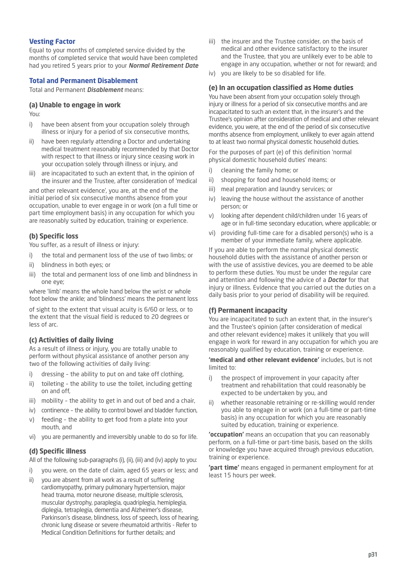# **Vesting Factor**

Equal to your months of completed service divided by the months of completed service that would have been completed had you retired 5 years prior to your *Normal Retirement Date*

# **Total and Permanent Disablement**

Total and Permanent *Disablement* means:

# **(a) Unable to engage in work**

You:

- i) have been absent from your occupation solely through illness or injury for a period of six consecutive months,
- ii) have been regularly attending a Doctor and undertaking medical treatment reasonably recommended by that Doctor with respect to that illness or injury since ceasing work in your occupation solely through illness or injury, and
- iii) are incapacitated to such an extent that, in the opinion of the insurer and the Trustee, after consideration of 'medical

and other relevant evidence', you are, at the end of the initial period of six consecutive months absence from your occupation, unable to ever engage in or work (on a full time or part time employment basis) in any occupation for which you are reasonably suited by education, training or experience.

# **(b) Specific loss**

You suffer, as a result of illness or injury:

- i) the total and permanent loss of the use of two limbs; or
- ii) blindness in both eyes; or
- iii) the total and permanent loss of one limb and blindness in one eye;

where 'limb' means the whole hand below the wrist or whole foot below the ankle; and 'blindness' means the permanent loss

of sight to the extent that visual acuity is 6/60 or less, or to the extent that the visual field is reduced to 20 degrees or less of arc.

# **(c) Activities of daily living**

As a result of illness or injury, you are totally unable to perform without physical assistance of another person any two of the following activities of daily living:

- i) dressing the ability to put on and take off clothing,
- ii) toileting the ability to use the toilet, including getting on and off,
- iii) mobility the ability to get in and out of bed and a chair,
- iv) continence the ability to control bowel and bladder function,
- v) feeding the ability to get food from a plate into your mouth, and
- vi) you are permanently and irreversibly unable to do so for life.

# **(d) Specific illness**

All of the following sub-paragraphs (i), (ii), (iii) and (iv) apply to you:

- i) you were, on the date of claim, aged 65 years or less; and
- ii) you are absent from all work as a result of suffering cardiomyopathy, primary pulmonary hypertension, major head trauma, motor neurone disease, multiple sclerosis, muscular dystrophy, paraplegia, quadriplegia, hemiplegia, diplegia, tetraplegia, dementia and Alzheimer's disease, Parkinson's disease, blindness, loss of speech, loss of hearing, chronic lung disease or severe rheumatoid arthritis - Refer to Medical Condition Definitions for further details; and
- iii) the insurer and the Trustee consider, on the basis of medical and other evidence satisfactory to the insurer and the Trustee, that you are unlikely ever to be able to engage in any occupation, whether or not for reward; and
- iv) you are likely to be so disabled for life.

### **(e) In an occupation classified as Home duties**

You have been absent from your occupation solely through injury or illness for a period of six consecutive months and are incapacitated to such an extent that, in the insurer's and the Trustee's opinion after consideration of medical and other relevant evidence, you were, at the end of the period of six consecutive months absence from employment, unlikely to ever again attend to at least two normal physical domestic household duties.

For the purposes of part (e) of this definition 'normal physical domestic household duties' means:

- i) cleaning the family home; or
- ii) shopping for food and household items; or
- iii) meal preparation and laundry services; or
- iv) leaving the house without the assistance of another person; or
- v) looking after dependent child/children under 16 years of age or in full-time secondary education, where applicable; or
- vi) providing full-time care for a disabled person(s) who is a member of your immediate family, where applicable.

If you are able to perform the normal physical domestic household duties with the assistance of another person or with the use of assistive devices, you are deemed to be able to perform these duties. You must be under the regular care and attention and following the advice of a *Doctor* for that injury or illness. Evidence that you carried out the duties on a daily basis prior to your period of disability will be required.

#### **(f) Permanent incapacity**

You are incapacitated to such an extent that, in the insurer's and the Trustee's opinion (after consideration of medical and other relevant evidence) makes it unlikely that you will engage in work for reward in any occupation for which you are reasonably qualified by education, training or experience.

**'medical and other relevant evidence'** includes, but is not limited to:

- i) the prospect of improvement in your capacity after treatment and rehabilitation that could reasonably be expected to be undertaken by you, and
- ii) whether reasonable retraining or re-skilling would render you able to engage in or work (on a full-time or part-time basis) in any occupation for which you are reasonably suited by education, training or experience.

**'occupation'** means an occupation that you can reasonably perform, on a full-time or part-time basis, based on the skills or knowledge you have acquired through previous education, training or experience.

**'part time'** means engaged in permanent employment for at least 15 hours per week.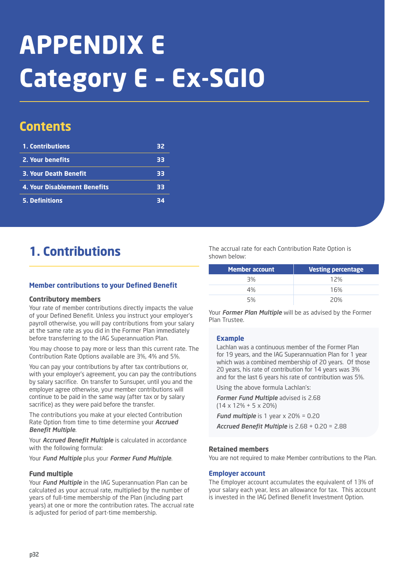# **APPENDIX E Category E – Ex-SGIO**

# **Contents**

| 1. Contributions                    | 32 |
|-------------------------------------|----|
| 2. Your benefits                    | 33 |
| <b>3. Your Death Benefit</b>        | 33 |
| <b>4. Your Disablement Benefits</b> | 33 |
| <b>5. Definitions</b>               | 34 |

# **1. Contributions**

# **Member contributions to your Defined Benefit**

# **Contributory members**

Your rate of member contributions directly impacts the value of your Defined Benefit. Unless you instruct your employer's payroll otherwise, you will pay contributions from your salary at the same rate as you did in the Former Plan immediately before transferring to the IAG Superannuation Plan.

You may choose to pay more or less than this current rate. The Contribution Rate Options available are 3%, 4% and 5%.

You can pay your contributions by after tax contributions or, with your employer's agreement, you can pay the contributions by salary sacrifice. On transfer to Sunsuper, until you and the employer agree otherwise, your member contributions will continue to be paid in the same way (after tax or by salary sacrifice) as they were paid before the transfer.

The contributions you make at your elected Contribution Rate Option from time to time determine your *Accrued Benefit Multiple*.

Your *Accrued Benefit Multiple* is calculated in accordance with the following formula:

Your *Fund Multiple* plus your *Former Fund Multiple*.

# **Fund multiple**

Your *Fund Multiple* in the IAG Superannuation Plan can be calculated as your accrual rate, multiplied by the number of years of full-time membership of the Plan (including part years) at one or more the contribution rates. The accrual rate is adjusted for period of part-time membership.

The accrual rate for each Contribution Rate Option is shown below:

| <b>Member account</b> | <b>Vesting percentage</b> |
|-----------------------|---------------------------|
| 3%                    | 12%                       |
| 4%                    | 16%                       |
| 5%                    | 20%                       |

Your *Former Plan Multiple* will be as advised by the Former Plan Trustee.

# **Example**

Lachlan was a continuous member of the Former Plan for 19 years, and the IAG Superannuation Plan for 1 year which was a combined membership of 20 years. Of those 20 years, his rate of contribution for 14 years was 3% and for the last 6 years his rate of contribution was 5%.

Using the above formula Lachlan's:

*Former Fund Multiple* advised is 2.68 (14 x 12% + 5 x 20%) *Fund multiple* is 1 year x 20% = 0.20

*Accrued Benefit Multiple* is 2.68 + 0.20 = 2.88

# **Retained members**

You are not required to make Member contributions to the Plan.

#### **Employer account**

The Employer account accumulates the equivalent of 13% of your salary each year, less an allowance for tax. This account is invested in the IAG Defined Benefit Investment Option.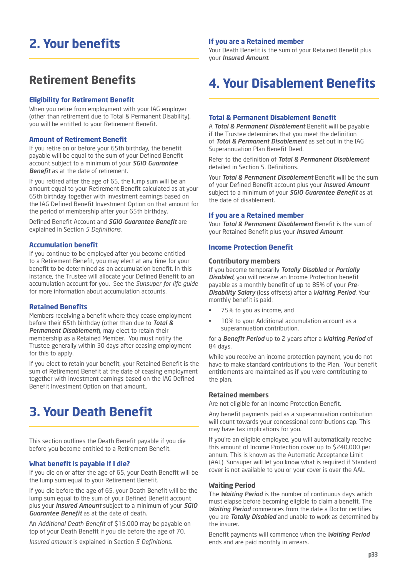# **2. Your benefits**

# **Retirement Benefits**

### **Eligibility for Retirement Benefit**

When you retire from employment with your IAG employer (other than retirement due to Total & Permanent Disability), you will be entitled to your Retirement Benefit.

#### **Amount of Retirement Benefit**

If you retire on or before your 65th birthday, the benefit payable will be equal to the sum of your Defined Benefit account subject to a minimum of your *SGIO Guarantee Benefit* as at the date of retirement.

If you retired after the age of 65, the lump sum will be an amount equal to your Retirement Benefit calculated as at your 65th birthday together with investment earnings based on the IAG Defined Benefit Investment Option on that amount for the period of membership after your 65th birthday.

Defined Benefit Account and *SGIO Guarantee Benefit* are explained in Section *5 Definitions*.

#### **Accumulation benefit**

If you continue to be employed after you become entitled to a Retirement Benefit, you may elect at any time for your benefit to be determined as an accumulation benefit. In this instance, the Trustee will allocate your Defined Benefit to an accumulation account for you. See the *Sunsuper for life guide* for more information about accumulation accounts.

#### **Retained Benefits**

Members receiving a benefit where they cease employment before their 65th birthday (other than due to *Total & Permanent Disablement*), may elect to retain their membership as a Retained Member. You must notify the Trustee generally within 30 days after ceasing employment for this to apply.

If you elect to retain your benefit, your Retained Benefit is the sum of Retirement Benefit at the date of ceasing employment together with investment earnings based on the IAG Defined Benefit Investment Option on that amount..

# **3. Your Death Benefit**

This section outlines the Death Benefit payable if you die before you become entitled to a Retirement Benefit.

#### **What benefit is payable if I die?**

If you die on or after the age of 65, your Death Benefit will be the lump sum equal to your Retirement Benefit.

If you die before the age of 65, your Death Benefit will be the lump sum equal to the sum of your Defined Benefit account plus your *Insured Amount* subject to a minimum of your *SGIO Guarantee Benefit* as at the date of death.

An *Additional Death Benefit* of \$15,000 may be payable on top of your Death Benefit if you die before the age of 70.

*Insured amount* is explained in Section *5 Definitions.*

# **If you are a Retained member**

Your Death Benefit is the sum of your Retained Benefit plus your *Insured Amount*.

# **4. Your Disablement Benefits**

### **Total & Permanent Disablement Benefit**

A *Total & Permanent Disablement* Benefit will be payable if the Trustee determines that you meet the definition of *Total & Permanent Disablement* as set out in the IAG Superannuation Plan Benefit Deed.

Refer to the definition of *Total & Permanent Disablement* detailed in Section 5. Definitions.

Your *Total & Permanent Disablement* Benefit will be the sum of your Defined Benefit account plus your *Insured Amount* subject to a minimum of your *SGIO Guarantee Benefit* as at the date of disablement.

#### **If you are a Retained member**

Your *Total & Permanent Disablement* Benefit is the sum of your Retained Benefit plus your *Insured Amount*.

#### **Income Protection Benefit**

#### **Contributory members**

If you become temporarily *Totally Disabled* or *Partially Disabled*, you will receive an Income Protection benefit payable as a monthly benefit of up to 85% of your *Pre-Disability Salary* (less offsets) after a *Waiting Period*. Your monthly benefit is paid:

- 75% to you as income, and
- 10% to your Additional accumulation account as a superannuation contribution,

for a *Benefit Period* up to 2 years after a *Waiting Period* of 84 days.

While you receive an income protection payment, you do not have to make standard contributions to the Plan. Your benefit entitlements are maintained as if you were contributing to the plan.

# **Retained members**

Are not eligible for an Income Protection Benefit.

Any benefit payments paid as a superannuation contribution will count towards your concessional contributions cap. This may have tax implications for you.

If you're an eligible employee, you will automatically receive this amount of Income Protection cover up to \$240,000 per annum. This is known as the Automatic Acceptance Limit (AAL). Sunsuper will let you know what is required if Standard cover is not available to you or your cover is over the AAL.

#### **Waiting Period**

The *Waiting Period* is the number of continuous days which must elapse before becoming eligible to claim a benefit. The *Waiting Period* commences from the date a Doctor certifies you are *Totally Disabled* and unable to work as determined by the insurer.

Benefit payments will commence when the *Waiting Period* ends and are paid monthly in arrears.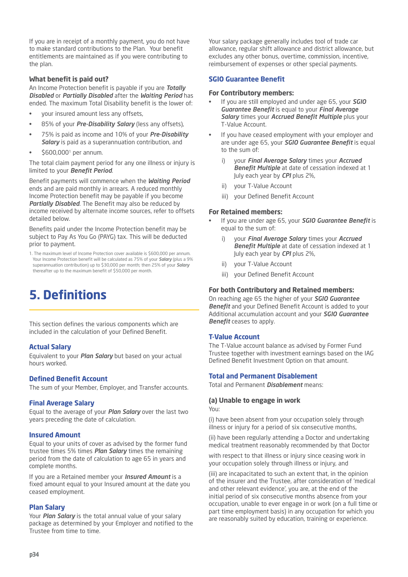If you are in receipt of a monthly payment, you do not have to make standard contributions to the Plan. Your benefit entitlements are maintained as if you were contributing to the plan.

### **What benefit is paid out?**

An Income Protection benefit is payable if you are *Totally Disabled* or *Partially Disabled* after the *Waiting Period* has ended. The maximum Total Disability benefit is the lower of:

- your insured amount less any offsets,
- 85% of your *Pre-Disability Salary* (less any offsets),
- 75% is paid as income and 10% of your *Pre-Disability Salary* is paid as a superannuation contribution, and
- \$600,0001 per annum.

The total claim payment period for any one illness or injury is limited to your *Benefit Period*.

Benefit payments will commence when the *Waiting Period* ends and are paid monthly in arrears. A reduced monthly Income Protection benefit may be payable if you become *Partially Disabled*. The Benefit may also be reduced by income received by alternate income sources, refer to offsets detailed below.

Benefits paid under the Income Protection benefit may be subject to Pay As You Go (PAYG) tax. This will be deducted prior to payment.

1. The maximum level of Income Protection cover available is \$600,000 per annum. Your Income Protection benefit will be calculated as 75% of your *Salary* (plus a 9% superannuation contribution) up to \$30,000 per month; then 25% of your *Salary* thereafter up to the maximum benefit of \$50,000 per month.

# **5. Definitions**

This section defines the various components which are included in the calculation of your Defined Benefit.

# **Actual Salary**

Equivalent to your *Plan Salary* but based on your actual hours worked.

# **Defined Benefit Account**

The sum of your Member, Employer, and Transfer accounts.

#### **Final Average Salary**

Equal to the average of your *Plan Salary* over the last two years preceding the date of calculation.

#### **Insured Amount**

Equal to your units of cover as advised by the former fund trustee times 5% times *Plan Salary* times the remaining period from the date of calculation to age 65 in years and complete months.

If you are a Retained member your *Insured Amount* is a fixed amount equal to your Insured amount at the date you ceased employment.

#### **Plan Salary**

Your *Plan Salary* is the total annual value of your salary package as determined by your Employer and notified to the Trustee from time to time.

Your salary package generally includes tool of trade car allowance, regular shift allowance and district allowance, but excludes any other bonus, overtime, commission, incentive, reimbursement of expenses or other special payments.

### **SGIO Guarantee Benefit**

#### **For Contributory members:**

- If you are still employed and under age 65, your *SGIO Guarantee Benefit* is equal to your *Final Average Salary* times your *Accrued Benefit Multiple* plus your T-Value Account.
- If you have ceased employment with your employer and are under age 65, your *SGIO Guarantee Benefit* is equal to the sum of:
	- i) your *Final Average Salary* times your *Accrued Benefit Multiple* at date of cessation indexed at 1 July each year by *CPI* plus 2%,
	- ii) your T-Value Account
	- iii) your Defined Benefit Account

### **For Retained members:**

- If you are under age 65, your *SGIO Guarantee Benefit* is equal to the sum of:
	- i) your *Final Average Salary* times your *Accrued Benefit Multiple* at date of cessation indexed at 1 July each year by *CPI* plus 2%,
	- ii) your T-Value Account
	- iii) your Defined Benefit Account

### **For both Contributory and Retained members:**

On reaching age 65 the higher of your *SGIO Guarantee Benefit* and your Defined Benefit Account is added to your Additional accumulation account and your *SGIO Guarantee Benefit* ceases to apply.

#### **T-Value Account**

The T-Value account balance as advised by Former Fund Trustee together with investment earnings based on the IAG Defined Benefit Investment Option on that amount.

#### **Total and Permanent Disablement**

Total and Permanent *Disablement* means:

#### **(a) Unable to engage in work**

You:

(i) have been absent from your occupation solely through illness or injury for a period of six consecutive months,

(ii) have been regularly attending a Doctor and undertaking medical treatment reasonably recommended by that Doctor

with respect to that illness or injury since ceasing work in your occupation solely through illness or injury, and

(iii) are incapacitated to such an extent that, in the opinion of the insurer and the Trustee, after consideration of 'medical and other relevant evidence', you are, at the end of the initial period of six consecutive months absence from your occupation, unable to ever engage in or work (on a full time or part time employment basis) in any occupation for which you are reasonably suited by education, training or experience.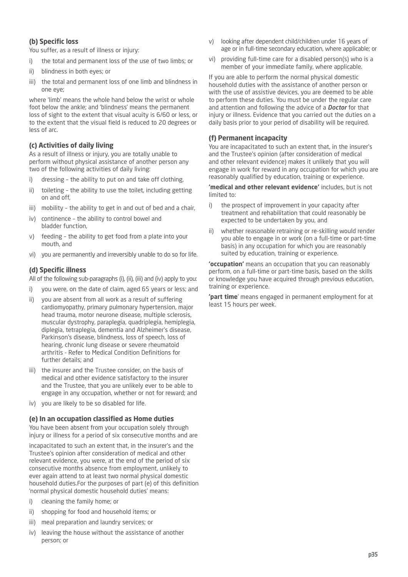# **(b) Specific loss**

You suffer, as a result of illness or injury:

- i) the total and permanent loss of the use of two limbs; or
- ii) blindness in both eyes; or
- iii) the total and permanent loss of one limb and blindness in one eye;

where 'limb' means the whole hand below the wrist or whole foot below the ankle; and 'blindness' means the permanent loss of sight to the extent that visual acuity is 6/60 or less, or to the extent that the visual field is reduced to 20 degrees or less of arc.

# **(c) Activities of daily living**

As a result of illness or injury, you are totally unable to perform without physical assistance of another person any two of the following activities of daily living:

- i) dressing the ability to put on and take off clothing,
- ii) toileting the ability to use the toilet, including getting on and off,
- iii) mobility the ability to get in and out of bed and a chair,
- iv) continence the ability to control bowel and bladder function,
- v) feeding the ability to get food from a plate into your mouth, and
- vi) you are permanently and irreversibly unable to do so for life.

# **(d) Specific illness**

All of the following sub-paragraphs (i), (ii), (iii) and (iv) apply to you:

- i) you were, on the date of claim, aged 65 years or less; and
- ii) you are absent from all work as a result of suffering cardiomyopathy, primary pulmonary hypertension, major head trauma, motor neurone disease, multiple sclerosis, muscular dystrophy, paraplegia, quadriplegia, hemiplegia, diplegia, tetraplegia, dementia and Alzheimer's disease, Parkinson's disease, blindness, loss of speech, loss of hearing, chronic lung disease or severe rheumatoid arthritis - Refer to Medical Condition Definitions for further details; and
- iii) the insurer and the Trustee consider, on the basis of medical and other evidence satisfactory to the insurer and the Trustee, that you are unlikely ever to be able to engage in any occupation, whether or not for reward; and
- iv) you are likely to be so disabled for life.

#### **(e) In an occupation classified as Home duties**

You have been absent from your occupation solely through injury or illness for a period of six consecutive months and are

incapacitated to such an extent that, in the insurer's and the Trustee's opinion after consideration of medical and other relevant evidence, you were, at the end of the period of six consecutive months absence from employment, unlikely to ever again attend to at least two normal physical domestic household duties.For the purposes of part (e) of this definition 'normal physical domestic household duties' means:

- i) cleaning the family home; or
- ii) shopping for food and household items; or
- iii) meal preparation and laundry services; or
- iv) leaving the house without the assistance of another person; or
- v) looking after dependent child/children under 16 years of age or in full-time secondary education, where applicable; or
- vi) providing full-time care for a disabled person(s) who is a member of your immediate family, where applicable.

If you are able to perform the normal physical domestic household duties with the assistance of another person or with the use of assistive devices, you are deemed to be able to perform these duties. You must be under the regular care and attention and following the advice of a *Doctor* for that injury or illness. Evidence that you carried out the duties on a daily basis prior to your period of disability will be required.

## **(f) Permanent incapacity**

You are incapacitated to such an extent that, in the insurer's and the Trustee's opinion (after consideration of medical and other relevant evidence) makes it unlikely that you will engage in work for reward in any occupation for which you are reasonably qualified by education, training or experience.

**'medical and other relevant evidence'** includes, but is not limited to:

- i) the prospect of improvement in your capacity after treatment and rehabilitation that could reasonably be expected to be undertaken by you, and
- ii) whether reasonable retraining or re-skilling would render you able to engage in or work (on a full-time or part-time basis) in any occupation for which you are reasonably suited by education, training or experience.

**'occupation'** means an occupation that you can reasonably perform, on a full-time or part-time basis, based on the skills or knowledge you have acquired through previous education, training or experience.

**'part time**' means engaged in permanent employment for at least 15 hours per week.